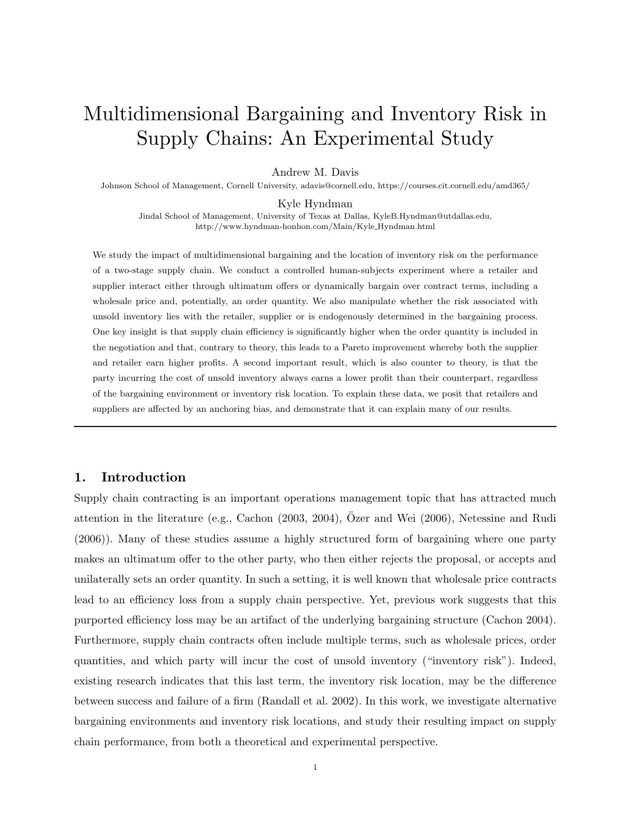# Multidimensional Bargaining and Inventory Risk in Supply Chains: An Experimental Study

Andrew M. Davis

Johnson School of Management, Cornell University, adavis@cornell.edu, https://courses.cit.cornell.edu/amd365/

Kyle Hyndman

Jindal School of Management, University of Texas at Dallas, KyleB.Hyndman@utdallas.edu, http://www.hyndman-honhon.com/Main/Kyle Hyndman.html

We study the impact of multidimensional bargaining and the location of inventory risk on the performance of a two-stage supply chain. We conduct a controlled human-subjects experiment where a retailer and supplier interact either through ultimatum offers or dynamically bargain over contract terms, including a wholesale price and, potentially, an order quantity. We also manipulate whether the risk associated with unsold inventory lies with the retailer, supplier or is endogenously determined in the bargaining process. One key insight is that supply chain efficiency is significantly higher when the order quantity is included in the negotiation and that, contrary to theory, this leads to a Pareto improvement whereby both the supplier and retailer earn higher profits. A second important result, which is also counter to theory, is that the party incurring the cost of unsold inventory always earns a lower profit than their counterpart, regardless of the bargaining environment or inventory risk location. To explain these data, we posit that retailers and suppliers are affected by an anchoring bias, and demonstrate that it can explain many of our results.

# 1. Introduction

Supply chain contracting is an important operations management topic that has attracted much attention in the literature (e.g., Cachon  $(2003, 2004)$ , Özer and Wei  $(2006)$ , Netessine and Rudi (2006)). Many of these studies assume a highly structured form of bargaining where one party makes an ultimatum offer to the other party, who then either rejects the proposal, or accepts and unilaterally sets an order quantity. In such a setting, it is well known that wholesale price contracts lead to an efficiency loss from a supply chain perspective. Yet, previous work suggests that this purported efficiency loss may be an artifact of the underlying bargaining structure (Cachon 2004). Furthermore, supply chain contracts often include multiple terms, such as wholesale prices, order quantities, and which party will incur the cost of unsold inventory ("inventory risk"). Indeed, existing research indicates that this last term, the inventory risk location, may be the difference between success and failure of a firm (Randall et al. 2002). In this work, we investigate alternative bargaining environments and inventory risk locations, and study their resulting impact on supply chain performance, from both a theoretical and experimental perspective.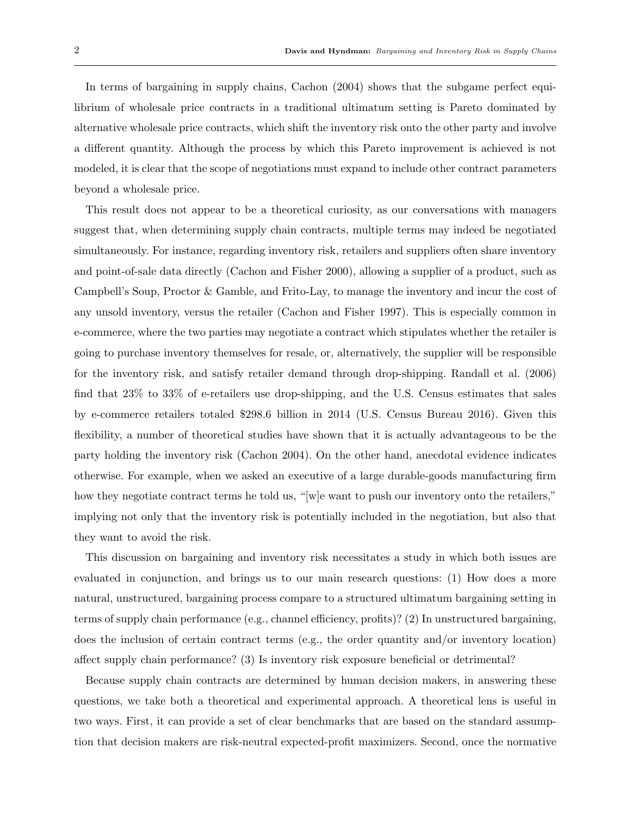In terms of bargaining in supply chains, Cachon (2004) shows that the subgame perfect equilibrium of wholesale price contracts in a traditional ultimatum setting is Pareto dominated by alternative wholesale price contracts, which shift the inventory risk onto the other party and involve a different quantity. Although the process by which this Pareto improvement is achieved is not modeled, it is clear that the scope of negotiations must expand to include other contract parameters beyond a wholesale price.

This result does not appear to be a theoretical curiosity, as our conversations with managers suggest that, when determining supply chain contracts, multiple terms may indeed be negotiated simultaneously. For instance, regarding inventory risk, retailers and suppliers often share inventory and point-of-sale data directly (Cachon and Fisher 2000), allowing a supplier of a product, such as Campbell's Soup, Proctor & Gamble, and Frito-Lay, to manage the inventory and incur the cost of any unsold inventory, versus the retailer (Cachon and Fisher 1997). This is especially common in e-commerce, where the two parties may negotiate a contract which stipulates whether the retailer is going to purchase inventory themselves for resale, or, alternatively, the supplier will be responsible for the inventory risk, and satisfy retailer demand through drop-shipping. Randall et al. (2006) find that 23% to 33% of e-retailers use drop-shipping, and the U.S. Census estimates that sales by e-commerce retailers totaled \$298.6 billion in 2014 (U.S. Census Bureau 2016). Given this flexibility, a number of theoretical studies have shown that it is actually advantageous to be the party holding the inventory risk (Cachon 2004). On the other hand, anecdotal evidence indicates otherwise. For example, when we asked an executive of a large durable-goods manufacturing firm how they negotiate contract terms he told us, "[w]e want to push our inventory onto the retailers," implying not only that the inventory risk is potentially included in the negotiation, but also that they want to avoid the risk.

This discussion on bargaining and inventory risk necessitates a study in which both issues are evaluated in conjunction, and brings us to our main research questions: (1) How does a more natural, unstructured, bargaining process compare to a structured ultimatum bargaining setting in terms of supply chain performance (e.g., channel efficiency, profits)? (2) In unstructured bargaining, does the inclusion of certain contract terms (e.g., the order quantity and/or inventory location) affect supply chain performance? (3) Is inventory risk exposure beneficial or detrimental?

Because supply chain contracts are determined by human decision makers, in answering these questions, we take both a theoretical and experimental approach. A theoretical lens is useful in two ways. First, it can provide a set of clear benchmarks that are based on the standard assumption that decision makers are risk-neutral expected-profit maximizers. Second, once the normative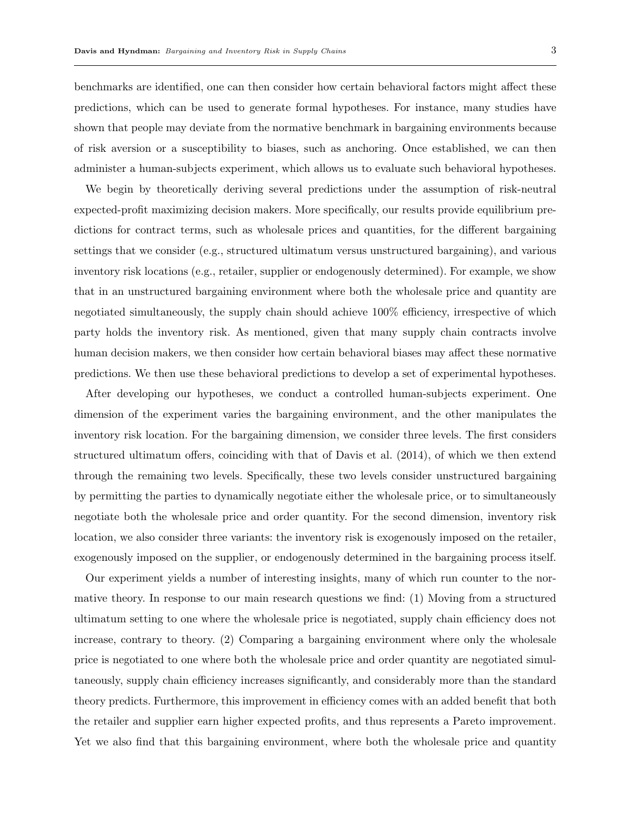benchmarks are identified, one can then consider how certain behavioral factors might affect these predictions, which can be used to generate formal hypotheses. For instance, many studies have shown that people may deviate from the normative benchmark in bargaining environments because of risk aversion or a susceptibility to biases, such as anchoring. Once established, we can then administer a human-subjects experiment, which allows us to evaluate such behavioral hypotheses.

We begin by theoretically deriving several predictions under the assumption of risk-neutral expected-profit maximizing decision makers. More specifically, our results provide equilibrium predictions for contract terms, such as wholesale prices and quantities, for the different bargaining settings that we consider (e.g., structured ultimatum versus unstructured bargaining), and various inventory risk locations (e.g., retailer, supplier or endogenously determined). For example, we show that in an unstructured bargaining environment where both the wholesale price and quantity are negotiated simultaneously, the supply chain should achieve 100% efficiency, irrespective of which party holds the inventory risk. As mentioned, given that many supply chain contracts involve human decision makers, we then consider how certain behavioral biases may affect these normative predictions. We then use these behavioral predictions to develop a set of experimental hypotheses.

After developing our hypotheses, we conduct a controlled human-subjects experiment. One dimension of the experiment varies the bargaining environment, and the other manipulates the inventory risk location. For the bargaining dimension, we consider three levels. The first considers structured ultimatum offers, coinciding with that of Davis et al. (2014), of which we then extend through the remaining two levels. Specifically, these two levels consider unstructured bargaining by permitting the parties to dynamically negotiate either the wholesale price, or to simultaneously negotiate both the wholesale price and order quantity. For the second dimension, inventory risk location, we also consider three variants: the inventory risk is exogenously imposed on the retailer, exogenously imposed on the supplier, or endogenously determined in the bargaining process itself.

Our experiment yields a number of interesting insights, many of which run counter to the normative theory. In response to our main research questions we find: (1) Moving from a structured ultimatum setting to one where the wholesale price is negotiated, supply chain efficiency does not increase, contrary to theory. (2) Comparing a bargaining environment where only the wholesale price is negotiated to one where both the wholesale price and order quantity are negotiated simultaneously, supply chain efficiency increases significantly, and considerably more than the standard theory predicts. Furthermore, this improvement in efficiency comes with an added benefit that both the retailer and supplier earn higher expected profits, and thus represents a Pareto improvement. Yet we also find that this bargaining environment, where both the wholesale price and quantity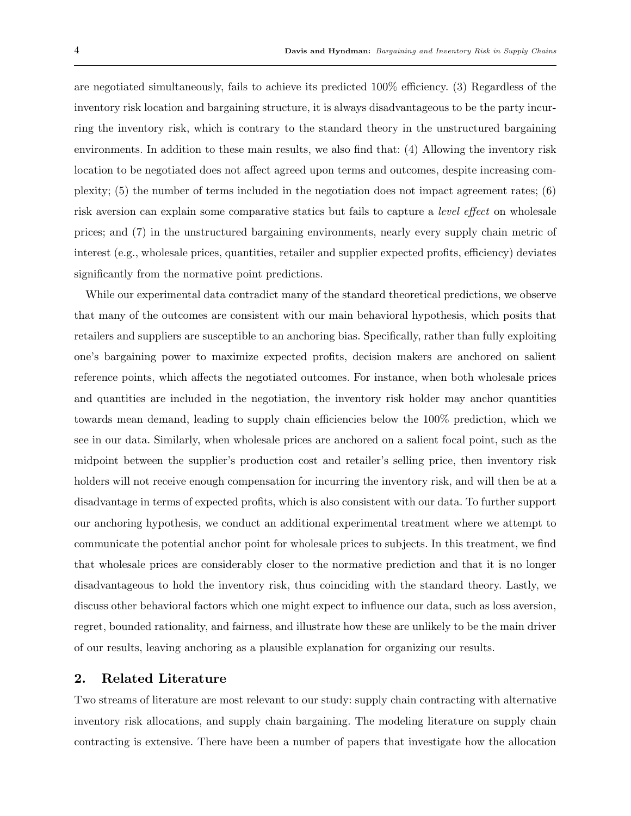are negotiated simultaneously, fails to achieve its predicted 100% efficiency. (3) Regardless of the inventory risk location and bargaining structure, it is always disadvantageous to be the party incurring the inventory risk, which is contrary to the standard theory in the unstructured bargaining environments. In addition to these main results, we also find that: (4) Allowing the inventory risk location to be negotiated does not affect agreed upon terms and outcomes, despite increasing complexity; (5) the number of terms included in the negotiation does not impact agreement rates; (6) risk aversion can explain some comparative statics but fails to capture a level effect on wholesale prices; and (7) in the unstructured bargaining environments, nearly every supply chain metric of interest (e.g., wholesale prices, quantities, retailer and supplier expected profits, efficiency) deviates significantly from the normative point predictions.

While our experimental data contradict many of the standard theoretical predictions, we observe that many of the outcomes are consistent with our main behavioral hypothesis, which posits that retailers and suppliers are susceptible to an anchoring bias. Specifically, rather than fully exploiting one's bargaining power to maximize expected profits, decision makers are anchored on salient reference points, which affects the negotiated outcomes. For instance, when both wholesale prices and quantities are included in the negotiation, the inventory risk holder may anchor quantities towards mean demand, leading to supply chain efficiencies below the 100% prediction, which we see in our data. Similarly, when wholesale prices are anchored on a salient focal point, such as the midpoint between the supplier's production cost and retailer's selling price, then inventory risk holders will not receive enough compensation for incurring the inventory risk, and will then be at a disadvantage in terms of expected profits, which is also consistent with our data. To further support our anchoring hypothesis, we conduct an additional experimental treatment where we attempt to communicate the potential anchor point for wholesale prices to subjects. In this treatment, we find that wholesale prices are considerably closer to the normative prediction and that it is no longer disadvantageous to hold the inventory risk, thus coinciding with the standard theory. Lastly, we discuss other behavioral factors which one might expect to influence our data, such as loss aversion, regret, bounded rationality, and fairness, and illustrate how these are unlikely to be the main driver of our results, leaving anchoring as a plausible explanation for organizing our results.

# 2. Related Literature

Two streams of literature are most relevant to our study: supply chain contracting with alternative inventory risk allocations, and supply chain bargaining. The modeling literature on supply chain contracting is extensive. There have been a number of papers that investigate how the allocation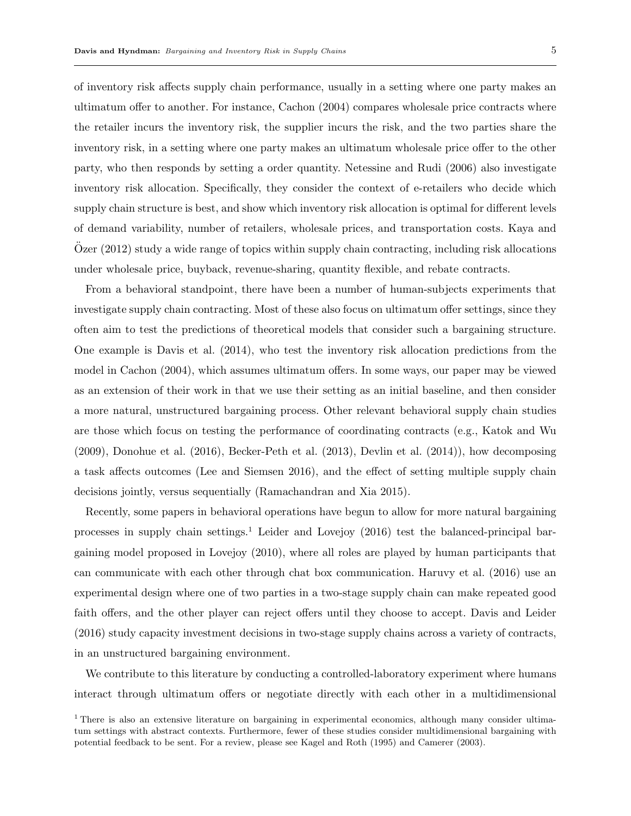of inventory risk affects supply chain performance, usually in a setting where one party makes an ultimatum offer to another. For instance, Cachon (2004) compares wholesale price contracts where the retailer incurs the inventory risk, the supplier incurs the risk, and the two parties share the inventory risk, in a setting where one party makes an ultimatum wholesale price offer to the other party, who then responds by setting a order quantity. Netessine and Rudi (2006) also investigate inventory risk allocation. Specifically, they consider the context of e-retailers who decide which supply chain structure is best, and show which inventory risk allocation is optimal for different levels of demand variability, number of retailers, wholesale prices, and transportation costs. Kaya and  $O$ zer (2012) study a wide range of topics within supply chain contracting, including risk allocations under wholesale price, buyback, revenue-sharing, quantity flexible, and rebate contracts.

From a behavioral standpoint, there have been a number of human-subjects experiments that investigate supply chain contracting. Most of these also focus on ultimatum offer settings, since they often aim to test the predictions of theoretical models that consider such a bargaining structure. One example is Davis et al. (2014), who test the inventory risk allocation predictions from the model in Cachon (2004), which assumes ultimatum offers. In some ways, our paper may be viewed as an extension of their work in that we use their setting as an initial baseline, and then consider a more natural, unstructured bargaining process. Other relevant behavioral supply chain studies are those which focus on testing the performance of coordinating contracts (e.g., Katok and Wu (2009), Donohue et al. (2016), Becker-Peth et al. (2013), Devlin et al. (2014)), how decomposing a task affects outcomes (Lee and Siemsen 2016), and the effect of setting multiple supply chain decisions jointly, versus sequentially (Ramachandran and Xia 2015).

Recently, some papers in behavioral operations have begun to allow for more natural bargaining processes in supply chain settings.<sup>1</sup> Leider and Lovejoy  $(2016)$  test the balanced-principal bargaining model proposed in Lovejoy (2010), where all roles are played by human participants that can communicate with each other through chat box communication. Haruvy et al. (2016) use an experimental design where one of two parties in a two-stage supply chain can make repeated good faith offers, and the other player can reject offers until they choose to accept. Davis and Leider (2016) study capacity investment decisions in two-stage supply chains across a variety of contracts, in an unstructured bargaining environment.

We contribute to this literature by conducting a controlled-laboratory experiment where humans interact through ultimatum offers or negotiate directly with each other in a multidimensional

<sup>&</sup>lt;sup>1</sup> There is also an extensive literature on bargaining in experimental economics, although many consider ultimatum settings with abstract contexts. Furthermore, fewer of these studies consider multidimensional bargaining with potential feedback to be sent. For a review, please see Kagel and Roth (1995) and Camerer (2003).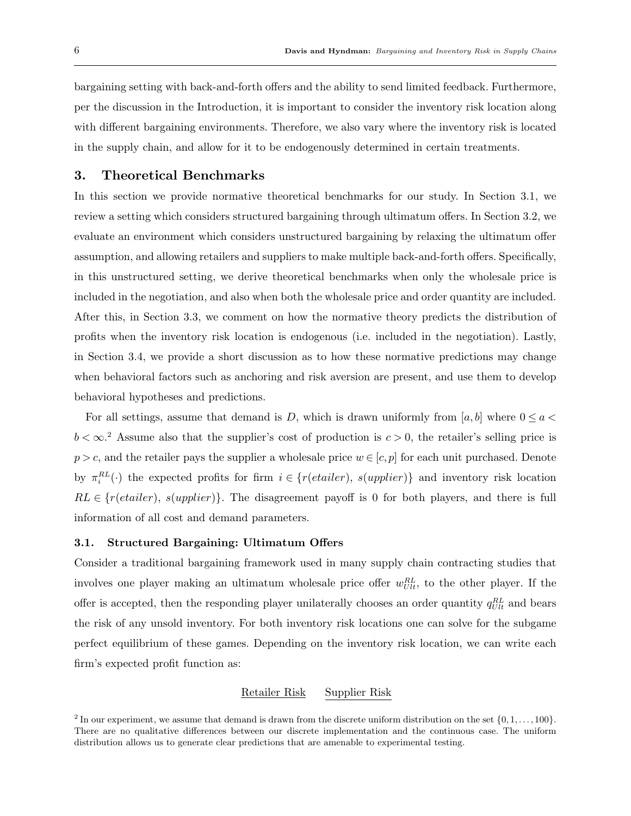bargaining setting with back-and-forth offers and the ability to send limited feedback. Furthermore, per the discussion in the Introduction, it is important to consider the inventory risk location along with different bargaining environments. Therefore, we also vary where the inventory risk is located in the supply chain, and allow for it to be endogenously determined in certain treatments.

# 3. Theoretical Benchmarks

In this section we provide normative theoretical benchmarks for our study. In Section 3.1, we review a setting which considers structured bargaining through ultimatum offers. In Section 3.2, we evaluate an environment which considers unstructured bargaining by relaxing the ultimatum offer assumption, and allowing retailers and suppliers to make multiple back-and-forth offers. Specifically, in this unstructured setting, we derive theoretical benchmarks when only the wholesale price is included in the negotiation, and also when both the wholesale price and order quantity are included. After this, in Section 3.3, we comment on how the normative theory predicts the distribution of profits when the inventory risk location is endogenous (i.e. included in the negotiation). Lastly, in Section 3.4, we provide a short discussion as to how these normative predictions may change when behavioral factors such as anchoring and risk aversion are present, and use them to develop behavioral hypotheses and predictions.

For all settings, assume that demand is D, which is drawn uniformly from  $[a, b]$  where  $0 \le a <$  $b < \infty$ <sup>2</sup>. Assume also that the supplier's cost of production is  $c > 0$ , the retailer's selling price is  $p > c$ , and the retailer pays the supplier a wholesale price  $w \in [c, p]$  for each unit purchased. Denote by  $\pi_i^{RL}(\cdot)$  the expected profits for firm  $i \in \{r(etailer), s(upplier)\}\$  and inventory risk location  $RL \in \{r(etailer), s(upplier)\}.$  The disagreement payoff is 0 for both players, and there is full information of all cost and demand parameters.

# 3.1. Structured Bargaining: Ultimatum Offers

Consider a traditional bargaining framework used in many supply chain contracting studies that involves one player making an ultimatum wholesale price offer  $w_{Ult}^{RL}$ , to the other player. If the offer is accepted, then the responding player unilaterally chooses an order quantity  $q_{Ult}^{RL}$  and bears the risk of any unsold inventory. For both inventory risk locations one can solve for the subgame perfect equilibrium of these games. Depending on the inventory risk location, we can write each firm's expected profit function as:

#### Retailer Risk Supplier Risk

<sup>&</sup>lt;sup>2</sup> In our experiment, we assume that demand is drawn from the discrete uniform distribution on the set  $\{0, 1, \ldots, 100\}$ . There are no qualitative differences between our discrete implementation and the continuous case. The uniform distribution allows us to generate clear predictions that are amenable to experimental testing.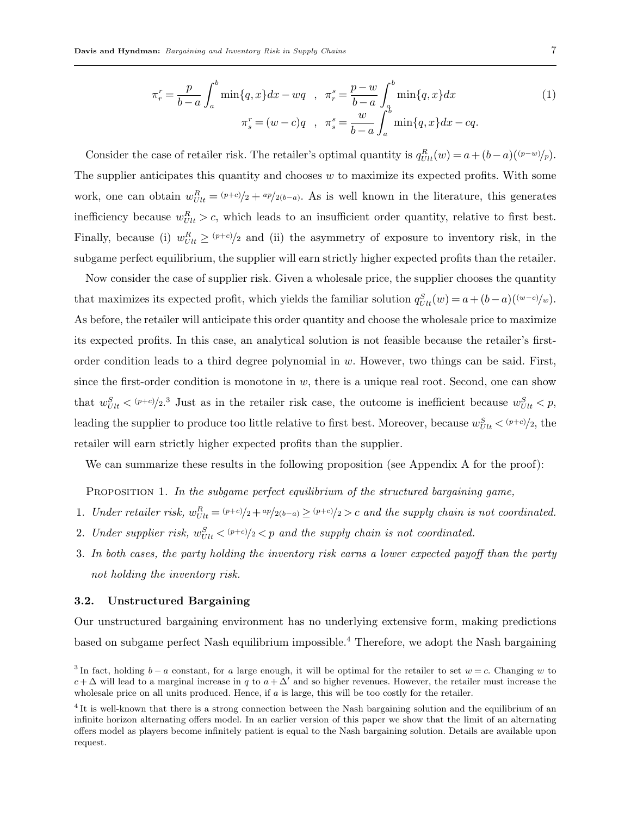$$
\pi_r^r = \frac{p}{b-a} \int_a^b \min\{q, x\} dx - wq \quad , \quad \pi_r^s = \frac{p-w}{b-a} \int_a^b \min\{q, x\} dx
$$
\n
$$
\pi_s^r = (w-c)q \quad , \quad \pi_s^s = \frac{w}{b-a} \int_a^b \min\{q, x\} dx - cq.
$$
\n(1)

Consider the case of retailer risk. The retailer's optimal quantity is  $q_{Ult}(w) = a + (b-a)(\frac{(p-w)}{p})$ . The supplier anticipates this quantity and chooses w to maximize its expected profits. With some work, one can obtain  $w_{Ult}^R = (p+c)/2 + \frac{ap}{2(b-a)}$ . As is well known in the literature, this generates inefficiency because  $w_{Ult}^R > c$ , which leads to an insufficient order quantity, relative to first best. Finally, because (i)  $w_{Ult}^R \ge (p+c)/2$  and (ii) the asymmetry of exposure to inventory risk, in the subgame perfect equilibrium, the supplier will earn strictly higher expected profits than the retailer.

Now consider the case of supplier risk. Given a wholesale price, the supplier chooses the quantity that maximizes its expected profit, which yields the familiar solution  $q_{Ult}^S(w) = a + (b-a)(\frac{(w-c)}{w})$ . As before, the retailer will anticipate this order quantity and choose the wholesale price to maximize its expected profits. In this case, an analytical solution is not feasible because the retailer's firstorder condition leads to a third degree polynomial in  $w$ . However, two things can be said. First, since the first-order condition is monotone in  $w$ , there is a unique real root. Second, one can show that  $w_{Ult}^{S} < (p+c)/2$ .<sup>3</sup> Just as in the retailer risk case, the outcome is inefficient because  $w_{Ult}^{S} < p$ , leading the supplier to produce too little relative to first best. Moreover, because  $w_{Ult}^S < (p+c)/2$ , the retailer will earn strictly higher expected profits than the supplier.

We can summarize these results in the following proposition (see Appendix A for the proof):

PROPOSITION 1. In the subgame perfect equilibrium of the structured bargaining game,

- 1. Under retailer risk,  $w_{Ult}^{R} = \frac{(p+c)}{2} + \frac{ap}{2(b-a)} \ge \frac{(p+c)}{2} > c$  and the supply chain is not coordinated.
- 2. Under supplier risk,  $w_{Ult}^{S} < (p+c)/2 < p$  and the supply chain is not coordinated.
- 3. In both cases, the party holding the inventory risk earns a lower expected payoff than the party not holding the inventory risk.

## 3.2. Unstructured Bargaining

Our unstructured bargaining environment has no underlying extensive form, making predictions based on subgame perfect Nash equilibrium impossible.<sup>4</sup> Therefore, we adopt the Nash bargaining

<sup>&</sup>lt;sup>3</sup>In fact, holding  $b - a$  constant, for a large enough, it will be optimal for the retailer to set  $w = c$ . Changing w to  $c + \Delta$  will lead to a marginal increase in q to  $a + \Delta'$  and so higher revenues. However, the retailer must increase the wholesale price on all units produced. Hence, if a is large, this will be too costly for the retailer.

<sup>&</sup>lt;sup>4</sup>It is well-known that there is a strong connection between the Nash bargaining solution and the equilibrium of an infinite horizon alternating offers model. In an earlier version of this paper we show that the limit of an alternating offers model as players become infinitely patient is equal to the Nash bargaining solution. Details are available upon request.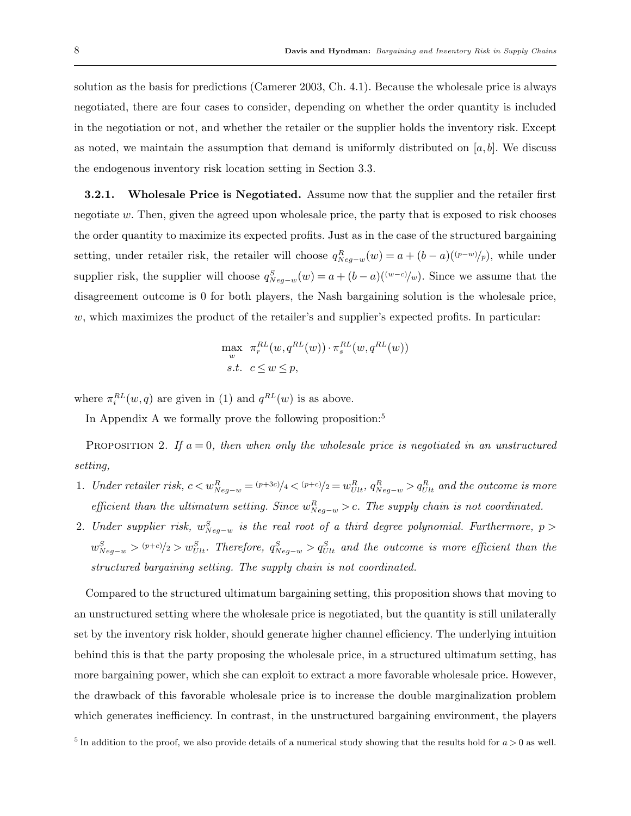solution as the basis for predictions (Camerer 2003, Ch. 4.1). Because the wholesale price is always negotiated, there are four cases to consider, depending on whether the order quantity is included in the negotiation or not, and whether the retailer or the supplier holds the inventory risk. Except as noted, we maintain the assumption that demand is uniformly distributed on  $[a, b]$ . We discuss the endogenous inventory risk location setting in Section 3.3.

**3.2.1.** Wholesale Price is Negotiated. Assume now that the supplier and the retailer first negotiate w. Then, given the agreed upon wholesale price, the party that is exposed to risk chooses the order quantity to maximize its expected profits. Just as in the case of the structured bargaining setting, under retailer risk, the retailer will choose  $q_{Neg-w}^R(w) = a + (b - a)(\frac{(p-w)}{p})$ , while under supplier risk, the supplier will choose  $q_{Neg-w}^S(w) = a + (b-a)((w-c)/w)$ . Since we assume that the disagreement outcome is 0 for both players, the Nash bargaining solution is the wholesale price, w, which maximizes the product of the retailer's and supplier's expected profits. In particular:

$$
\max_{w} \ \pi_r^{RL}(w, q^{RL}(w)) \cdot \pi_s^{RL}(w, q^{RL}(w))
$$
  
s.t.  $c \le w \le p$ ,

where  $\pi_i^{RL}(w, q)$  are given in (1) and  $q^{RL}(w)$  is as above.

In Appendix A we formally prove the following proposition:<sup>5</sup>

PROPOSITION 2. If  $a = 0$ , then when only the wholesale price is negotiated in an unstructured setting,

- 1. Under retailer risk,  $c < w_{Neg-w}^R = (p+3c)/4 < (p+c)/2 = w_{Ult}^R$ ,  $q_{Neg-w}^R > q_{Ult}^R$  and the outcome is more efficient than the ultimatum setting. Since  $w_{Neg-w}^R > c$ . The supply chain is not coordinated.
- 2. Under supplier risk,  $w_{Neg-w}^S$  is the real root of a third degree polynomial. Furthermore,  $p >$  $w_{Neg-w}^S > (p+c)/2 > w_{Ult}^S$ . Therefore,  $q_{Neg-w}^S > q_{Ult}^S$  and the outcome is more efficient than the structured bargaining setting. The supply chain is not coordinated.

Compared to the structured ultimatum bargaining setting, this proposition shows that moving to an unstructured setting where the wholesale price is negotiated, but the quantity is still unilaterally set by the inventory risk holder, should generate higher channel efficiency. The underlying intuition behind this is that the party proposing the wholesale price, in a structured ultimatum setting, has more bargaining power, which she can exploit to extract a more favorable wholesale price. However, the drawback of this favorable wholesale price is to increase the double marginalization problem which generates inefficiency. In contrast, in the unstructured bargaining environment, the players

<sup>&</sup>lt;sup>5</sup> In addition to the proof, we also provide details of a numerical study showing that the results hold for  $a > 0$  as well.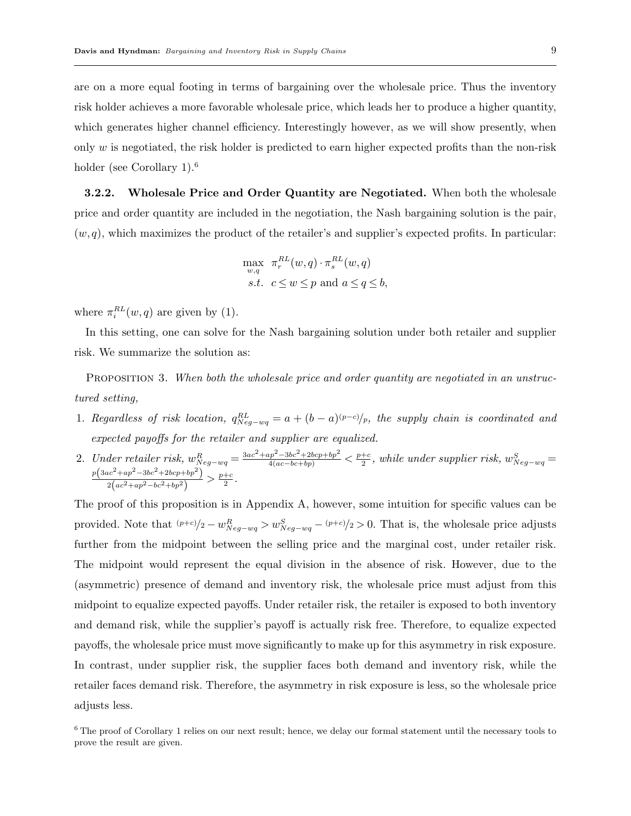are on a more equal footing in terms of bargaining over the wholesale price. Thus the inventory risk holder achieves a more favorable wholesale price, which leads her to produce a higher quantity, which generates higher channel efficiency. Interestingly however, as we will show presently, when only  $w$  is negotiated, the risk holder is predicted to earn higher expected profits than the non-risk holder (see Corollary 1).<sup>6</sup>

3.2.2. Wholesale Price and Order Quantity are Negotiated. When both the wholesale price and order quantity are included in the negotiation, the Nash bargaining solution is the pair,  $(w, q)$ , which maximizes the product of the retailer's and supplier's expected profits. In particular:

$$
\max_{w,q} \pi_r^{RL}(w,q) \cdot \pi_s^{RL}(w,q)
$$
  
s.t.  $c \le w \le p$  and  $a \le q \le b$ ,

where  $\pi_i^{RL}(w, q)$  are given by (1).

In this setting, one can solve for the Nash bargaining solution under both retailer and supplier risk. We summarize the solution as:

PROPOSITION 3. When both the wholesale price and order quantity are negotiated in an unstructured setting,

- 1. Regardless of risk location,  $q_{Neg-wq}^{RL} = a + (b a)^{(p-c)}/p$ , the supply chain is coordinated and expected payoffs for the retailer and supplier are equalized.
- 2. Under retailer risk,  $w_{Neg-wq}^R = \frac{3ac^2 + ap^2 3bc^2 + 2bcp + bp^2}{4(ac bc + bp)} < \frac{p+c}{2}$  $\frac{1}{2}$ <sup>+c</sup>, while under supplier risk,  $w_{Neg-wq}^S =$  $p\left(3ac^2 + ap^2 - 3bc^2 + 2bcp + bp^2\right)$  $\frac{ac + ap - 3oc + 2ocp + op}{2(ac^2 + ap^2 - bc^2 + bp^2)} > \frac{p + c}{2}$  $\frac{+c}{2}$ .

The proof of this proposition is in Appendix A, however, some intuition for specific values can be provided. Note that  $(p+c)/2 - w_{Neg-wq}^R > w_{Neg-wq}^S - (p+c)/2 > 0$ . That is, the wholesale price adjusts further from the midpoint between the selling price and the marginal cost, under retailer risk. The midpoint would represent the equal division in the absence of risk. However, due to the (asymmetric) presence of demand and inventory risk, the wholesale price must adjust from this midpoint to equalize expected payoffs. Under retailer risk, the retailer is exposed to both inventory and demand risk, while the supplier's payoff is actually risk free. Therefore, to equalize expected payoffs, the wholesale price must move significantly to make up for this asymmetry in risk exposure. In contrast, under supplier risk, the supplier faces both demand and inventory risk, while the retailer faces demand risk. Therefore, the asymmetry in risk exposure is less, so the wholesale price adjusts less.

<sup>&</sup>lt;sup>6</sup> The proof of Corollary 1 relies on our next result; hence, we delay our formal statement until the necessary tools to prove the result are given.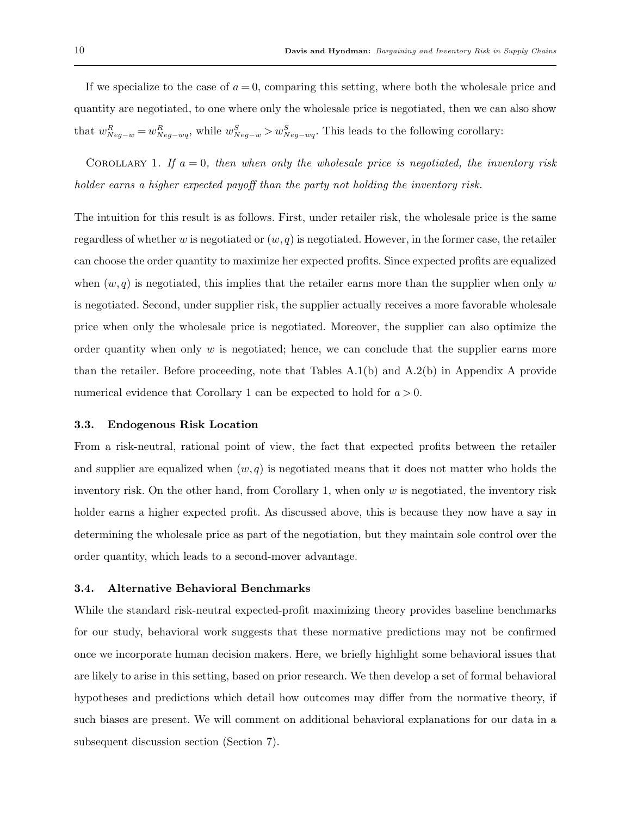If we specialize to the case of  $a = 0$ , comparing this setting, where both the wholesale price and quantity are negotiated, to one where only the wholesale price is negotiated, then we can also show that  $w_{Neg-w}^R = w_{Neg-wq}^R$ , while  $w_{Neg-w}^S > w_{Neg-wq}^S$ . This leads to the following corollary:

COROLLARY 1. If  $a = 0$ , then when only the wholesale price is negotiated, the inventory risk holder earns a higher expected payoff than the party not holding the inventory risk.

The intuition for this result is as follows. First, under retailer risk, the wholesale price is the same regardless of whether w is negotiated or  $(w, q)$  is negotiated. However, in the former case, the retailer can choose the order quantity to maximize her expected profits. Since expected profits are equalized when  $(w, q)$  is negotiated, this implies that the retailer earns more than the supplier when only w is negotiated. Second, under supplier risk, the supplier actually receives a more favorable wholesale price when only the wholesale price is negotiated. Moreover, the supplier can also optimize the order quantity when only  $w$  is negotiated; hence, we can conclude that the supplier earns more than the retailer. Before proceeding, note that Tables A.1(b) and A.2(b) in Appendix A provide numerical evidence that Corollary 1 can be expected to hold for  $a > 0$ .

#### 3.3. Endogenous Risk Location

From a risk-neutral, rational point of view, the fact that expected profits between the retailer and supplier are equalized when  $(w, q)$  is negotiated means that it does not matter who holds the inventory risk. On the other hand, from Corollary 1, when only  $w$  is negotiated, the inventory risk holder earns a higher expected profit. As discussed above, this is because they now have a say in determining the wholesale price as part of the negotiation, but they maintain sole control over the order quantity, which leads to a second-mover advantage.

# 3.4. Alternative Behavioral Benchmarks

While the standard risk-neutral expected-profit maximizing theory provides baseline benchmarks for our study, behavioral work suggests that these normative predictions may not be confirmed once we incorporate human decision makers. Here, we briefly highlight some behavioral issues that are likely to arise in this setting, based on prior research. We then develop a set of formal behavioral hypotheses and predictions which detail how outcomes may differ from the normative theory, if such biases are present. We will comment on additional behavioral explanations for our data in a subsequent discussion section (Section 7).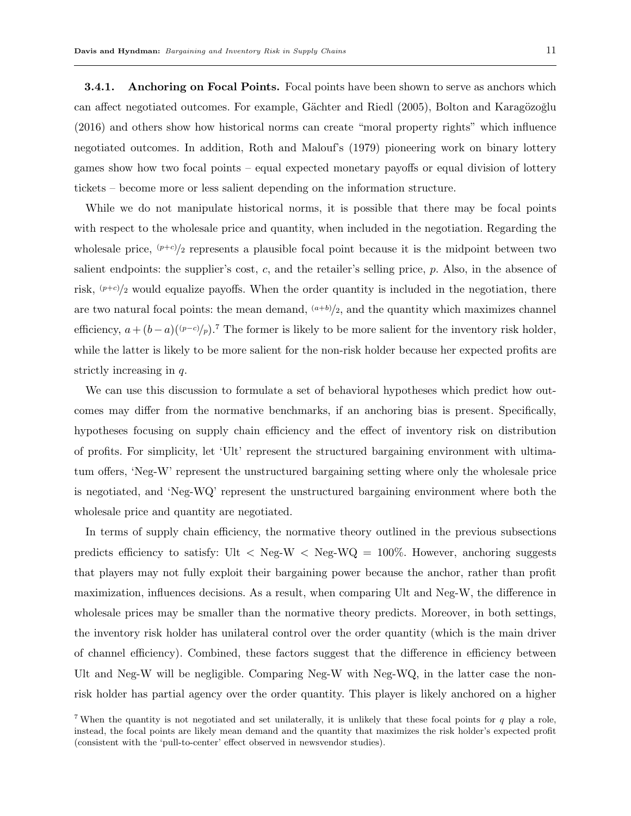**3.4.1.** Anchoring on Focal Points. Focal points have been shown to serve as anchors which can affect negotiated outcomes. For example, Gächter and Riedl (2005), Bolton and Karagözoğlu (2016) and others show how historical norms can create "moral property rights" which influence negotiated outcomes. In addition, Roth and Malouf's (1979) pioneering work on binary lottery games show how two focal points – equal expected monetary payoffs or equal division of lottery tickets – become more or less salient depending on the information structure.

While we do not manipulate historical norms, it is possible that there may be focal points with respect to the wholesale price and quantity, when included in the negotiation. Regarding the wholesale price,  $(p+c)/2$  represents a plausible focal point because it is the midpoint between two salient endpoints: the supplier's cost, c, and the retailer's selling price,  $p$ . Also, in the absence of risk,  $(p+c)/2$  would equalize payoffs. When the order quantity is included in the negotiation, there are two natural focal points: the mean demand,  $(a+b)/2$ , and the quantity which maximizes channel efficiency,  $a + (b-a)((p-c)/p)$ .<sup>7</sup> The former is likely to be more salient for the inventory risk holder, while the latter is likely to be more salient for the non-risk holder because her expected profits are strictly increasing in q.

We can use this discussion to formulate a set of behavioral hypotheses which predict how outcomes may differ from the normative benchmarks, if an anchoring bias is present. Specifically, hypotheses focusing on supply chain efficiency and the effect of inventory risk on distribution of profits. For simplicity, let 'Ult' represent the structured bargaining environment with ultimatum offers, 'Neg-W' represent the unstructured bargaining setting where only the wholesale price is negotiated, and 'Neg-WQ' represent the unstructured bargaining environment where both the wholesale price and quantity are negotiated.

In terms of supply chain efficiency, the normative theory outlined in the previous subsections predicts efficiency to satisfy: Ult  $\langle$  Neg-W  $\langle$  Neg-WQ = 100%. However, anchoring suggests that players may not fully exploit their bargaining power because the anchor, rather than profit maximization, influences decisions. As a result, when comparing Ult and Neg-W, the difference in wholesale prices may be smaller than the normative theory predicts. Moreover, in both settings, the inventory risk holder has unilateral control over the order quantity (which is the main driver of channel efficiency). Combined, these factors suggest that the difference in efficiency between Ult and Neg-W will be negligible. Comparing Neg-W with Neg-WQ, in the latter case the nonrisk holder has partial agency over the order quantity. This player is likely anchored on a higher

<sup>&</sup>lt;sup>7</sup> When the quantity is not negotiated and set unilaterally, it is unlikely that these focal points for  $q$  play a role, instead, the focal points are likely mean demand and the quantity that maximizes the risk holder's expected profit (consistent with the 'pull-to-center' effect observed in newsvendor studies).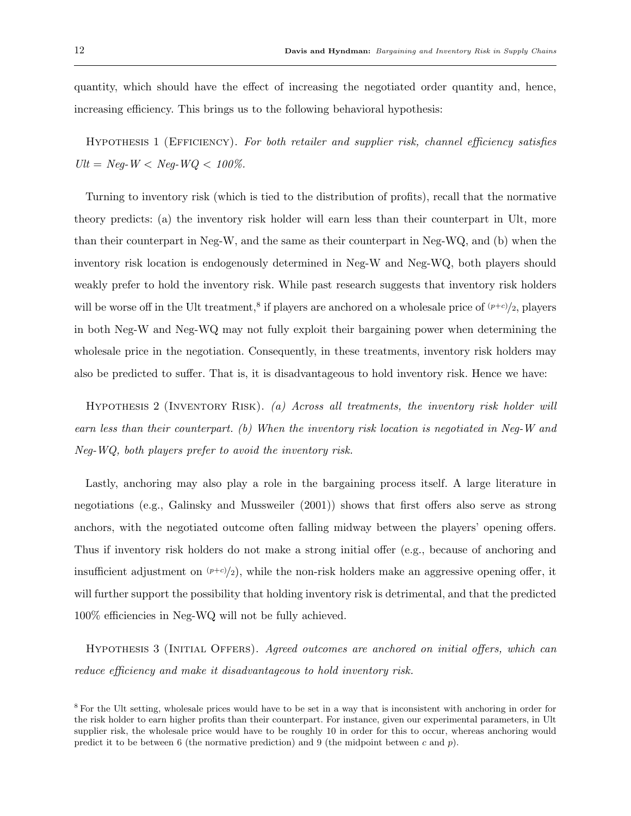quantity, which should have the effect of increasing the negotiated order quantity and, hence, increasing efficiency. This brings us to the following behavioral hypothesis:

HYPOTHESIS 1 (EFFICIENCY). For both retailer and supplier risk, channel efficiency satisfies  $Ult = Neg-W < Neg-WQ < 100\%.$ 

Turning to inventory risk (which is tied to the distribution of profits), recall that the normative theory predicts: (a) the inventory risk holder will earn less than their counterpart in Ult, more than their counterpart in Neg-W, and the same as their counterpart in Neg-WQ, and (b) when the inventory risk location is endogenously determined in Neg-W and Neg-WQ, both players should weakly prefer to hold the inventory risk. While past research suggests that inventory risk holders will be worse off in the Ult treatment,<sup>8</sup> if players are anchored on a wholesale price of  $(p+c)/2$ , players in both Neg-W and Neg-WQ may not fully exploit their bargaining power when determining the wholesale price in the negotiation. Consequently, in these treatments, inventory risk holders may also be predicted to suffer. That is, it is disadvantageous to hold inventory risk. Hence we have:

HYPOTHESIS 2 (INVENTORY RISK). (a) Across all treatments, the inventory risk holder will earn less than their counterpart. (b) When the inventory risk location is negotiated in Neg-W and Neg-WQ, both players prefer to avoid the inventory risk.

Lastly, anchoring may also play a role in the bargaining process itself. A large literature in negotiations (e.g., Galinsky and Mussweiler (2001)) shows that first offers also serve as strong anchors, with the negotiated outcome often falling midway between the players' opening offers. Thus if inventory risk holders do not make a strong initial offer (e.g., because of anchoring and insufficient adjustment on  $(p+c)/2$ , while the non-risk holders make an aggressive opening offer, it will further support the possibility that holding inventory risk is detrimental, and that the predicted 100% efficiencies in Neg-WQ will not be fully achieved.

Hypothesis 3 (Initial Offers). Agreed outcomes are anchored on initial offers, which can reduce efficiency and make it disadvantageous to hold inventory risk.

<sup>8</sup> For the Ult setting, wholesale prices would have to be set in a way that is inconsistent with anchoring in order for the risk holder to earn higher profits than their counterpart. For instance, given our experimental parameters, in Ult supplier risk, the wholesale price would have to be roughly 10 in order for this to occur, whereas anchoring would predict it to be between 6 (the normative prediction) and 9 (the midpoint between c and  $p$ ).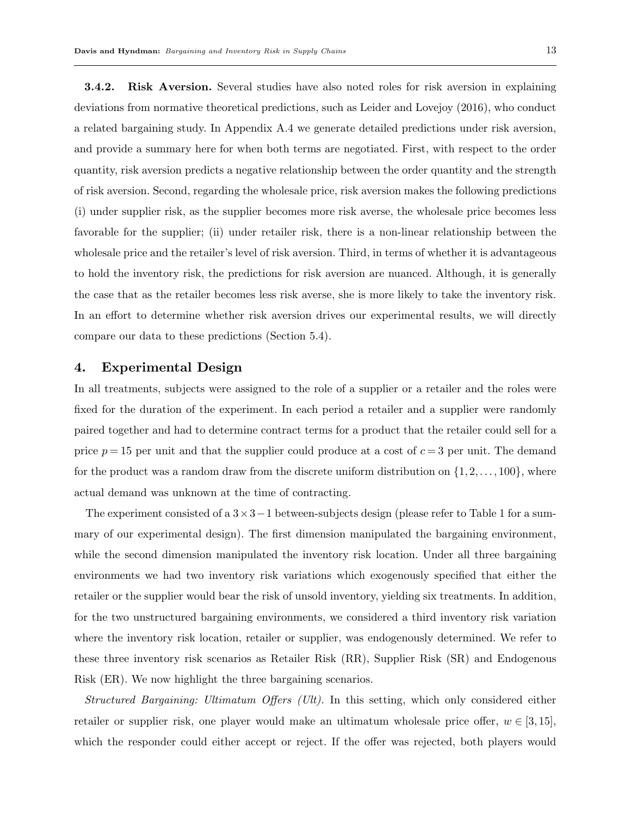3.4.2. Risk Aversion. Several studies have also noted roles for risk aversion in explaining deviations from normative theoretical predictions, such as Leider and Lovejoy (2016), who conduct a related bargaining study. In Appendix A.4 we generate detailed predictions under risk aversion, and provide a summary here for when both terms are negotiated. First, with respect to the order quantity, risk aversion predicts a negative relationship between the order quantity and the strength of risk aversion. Second, regarding the wholesale price, risk aversion makes the following predictions (i) under supplier risk, as the supplier becomes more risk averse, the wholesale price becomes less favorable for the supplier; (ii) under retailer risk, there is a non-linear relationship between the wholesale price and the retailer's level of risk aversion. Third, in terms of whether it is advantageous to hold the inventory risk, the predictions for risk aversion are nuanced. Although, it is generally the case that as the retailer becomes less risk averse, she is more likely to take the inventory risk. In an effort to determine whether risk aversion drives our experimental results, we will directly compare our data to these predictions (Section 5.4).

# 4. Experimental Design

In all treatments, subjects were assigned to the role of a supplier or a retailer and the roles were fixed for the duration of the experiment. In each period a retailer and a supplier were randomly paired together and had to determine contract terms for a product that the retailer could sell for a price  $p = 15$  per unit and that the supplier could produce at a cost of  $c = 3$  per unit. The demand for the product was a random draw from the discrete uniform distribution on  $\{1, 2, \ldots, 100\}$ , where actual demand was unknown at the time of contracting.

The experiment consisted of a  $3 \times 3 - 1$  between-subjects design (please refer to Table 1 for a summary of our experimental design). The first dimension manipulated the bargaining environment, while the second dimension manipulated the inventory risk location. Under all three bargaining environments we had two inventory risk variations which exogenously specified that either the retailer or the supplier would bear the risk of unsold inventory, yielding six treatments. In addition, for the two unstructured bargaining environments, we considered a third inventory risk variation where the inventory risk location, retailer or supplier, was endogenously determined. We refer to these three inventory risk scenarios as Retailer Risk (RR), Supplier Risk (SR) and Endogenous Risk (ER). We now highlight the three bargaining scenarios.

Structured Bargaining: Ultimatum Offers (Ult). In this setting, which only considered either retailer or supplier risk, one player would make an ultimatum wholesale price offer,  $w \in [3, 15]$ , which the responder could either accept or reject. If the offer was rejected, both players would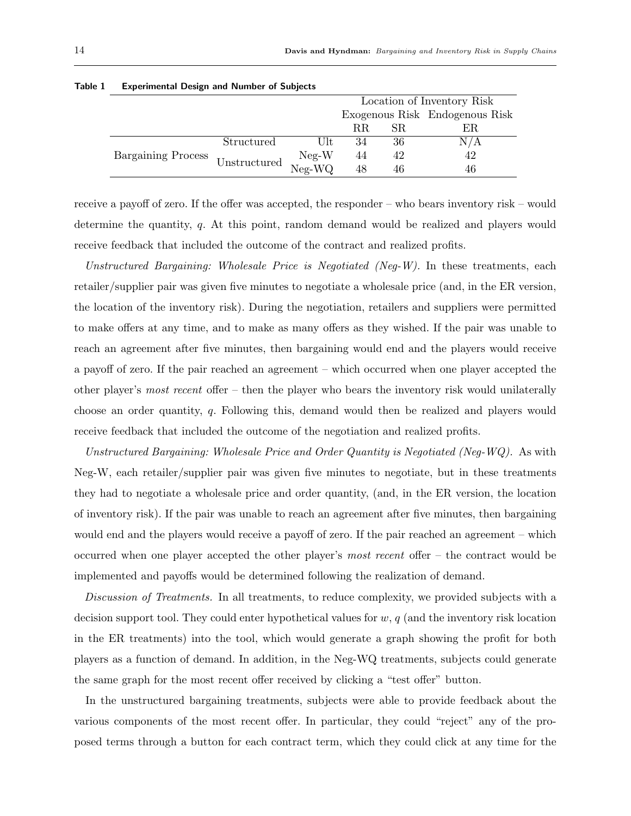|                                                                      |            |     | Location of Inventory Risk |    |                                |  |  |
|----------------------------------------------------------------------|------------|-----|----------------------------|----|--------------------------------|--|--|
|                                                                      |            |     |                            |    | Exogenous Risk Endogenous Risk |  |  |
|                                                                      |            |     | R.R.                       | SR | ΕR                             |  |  |
| Bargaining Process Unstructured $\frac{\text{Neg-W}}{\text{Neg-WQ}}$ | Structured | Ult | 34                         | 36 | N/A                            |  |  |
|                                                                      |            |     | 44                         | 42 | 42                             |  |  |
|                                                                      |            |     | $\frac{1}{48}$             |    | 46                             |  |  |

#### Table 1 Experimental Design and Number of Subjects

receive a payoff of zero. If the offer was accepted, the responder – who bears inventory risk – would determine the quantity, q. At this point, random demand would be realized and players would receive feedback that included the outcome of the contract and realized profits.

Unstructured Bargaining: Wholesale Price is Negotiated (Neg-W). In these treatments, each retailer/supplier pair was given five minutes to negotiate a wholesale price (and, in the ER version, the location of the inventory risk). During the negotiation, retailers and suppliers were permitted to make offers at any time, and to make as many offers as they wished. If the pair was unable to reach an agreement after five minutes, then bargaining would end and the players would receive a payoff of zero. If the pair reached an agreement – which occurred when one player accepted the other player's most recent offer – then the player who bears the inventory risk would unilaterally choose an order quantity, q. Following this, demand would then be realized and players would receive feedback that included the outcome of the negotiation and realized profits.

Unstructured Bargaining: Wholesale Price and Order Quantity is Negotiated (Neg-WQ). As with Neg-W, each retailer/supplier pair was given five minutes to negotiate, but in these treatments they had to negotiate a wholesale price and order quantity, (and, in the ER version, the location of inventory risk). If the pair was unable to reach an agreement after five minutes, then bargaining would end and the players would receive a payoff of zero. If the pair reached an agreement – which occurred when one player accepted the other player's most recent offer – the contract would be implemented and payoffs would be determined following the realization of demand.

Discussion of Treatments. In all treatments, to reduce complexity, we provided subjects with a decision support tool. They could enter hypothetical values for  $w, q$  (and the inventory risk location in the ER treatments) into the tool, which would generate a graph showing the profit for both players as a function of demand. In addition, in the Neg-WQ treatments, subjects could generate the same graph for the most recent offer received by clicking a "test offer" button.

In the unstructured bargaining treatments, subjects were able to provide feedback about the various components of the most recent offer. In particular, they could "reject" any of the proposed terms through a button for each contract term, which they could click at any time for the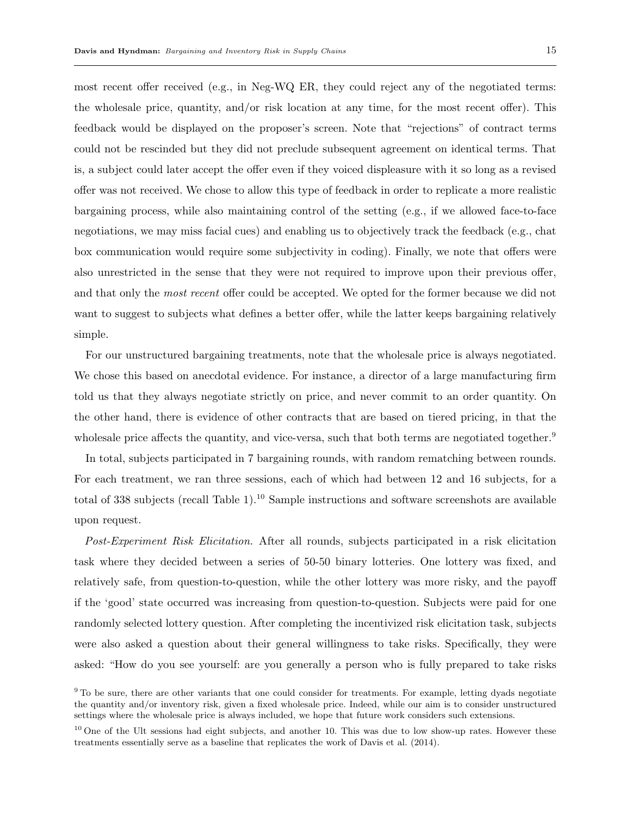most recent offer received (e.g., in Neg-WQ ER, they could reject any of the negotiated terms: the wholesale price, quantity, and/or risk location at any time, for the most recent offer). This feedback would be displayed on the proposer's screen. Note that "rejections" of contract terms could not be rescinded but they did not preclude subsequent agreement on identical terms. That is, a subject could later accept the offer even if they voiced displeasure with it so long as a revised offer was not received. We chose to allow this type of feedback in order to replicate a more realistic bargaining process, while also maintaining control of the setting (e.g., if we allowed face-to-face negotiations, we may miss facial cues) and enabling us to objectively track the feedback (e.g., chat box communication would require some subjectivity in coding). Finally, we note that offers were also unrestricted in the sense that they were not required to improve upon their previous offer, and that only the most recent offer could be accepted. We opted for the former because we did not want to suggest to subjects what defines a better offer, while the latter keeps bargaining relatively simple.

For our unstructured bargaining treatments, note that the wholesale price is always negotiated. We chose this based on anecdotal evidence. For instance, a director of a large manufacturing firm told us that they always negotiate strictly on price, and never commit to an order quantity. On the other hand, there is evidence of other contracts that are based on tiered pricing, in that the wholesale price affects the quantity, and vice-versa, such that both terms are negotiated together.<sup>9</sup>

In total, subjects participated in 7 bargaining rounds, with random rematching between rounds. For each treatment, we ran three sessions, each of which had between 12 and 16 subjects, for a total of 338 subjects (recall Table 1).<sup>10</sup> Sample instructions and software screenshots are available upon request.

Post-Experiment Risk Elicitation. After all rounds, subjects participated in a risk elicitation task where they decided between a series of 50-50 binary lotteries. One lottery was fixed, and relatively safe, from question-to-question, while the other lottery was more risky, and the payoff if the 'good' state occurred was increasing from question-to-question. Subjects were paid for one randomly selected lottery question. After completing the incentivized risk elicitation task, subjects were also asked a question about their general willingness to take risks. Specifically, they were asked: "How do you see yourself: are you generally a person who is fully prepared to take risks

<sup>&</sup>lt;sup>9</sup> To be sure, there are other variants that one could consider for treatments. For example, letting dyads negotiate the quantity and/or inventory risk, given a fixed wholesale price. Indeed, while our aim is to consider unstructured settings where the wholesale price is always included, we hope that future work considers such extensions.

 $10$  One of the Ult sessions had eight subjects, and another 10. This was due to low show-up rates. However these treatments essentially serve as a baseline that replicates the work of Davis et al. (2014).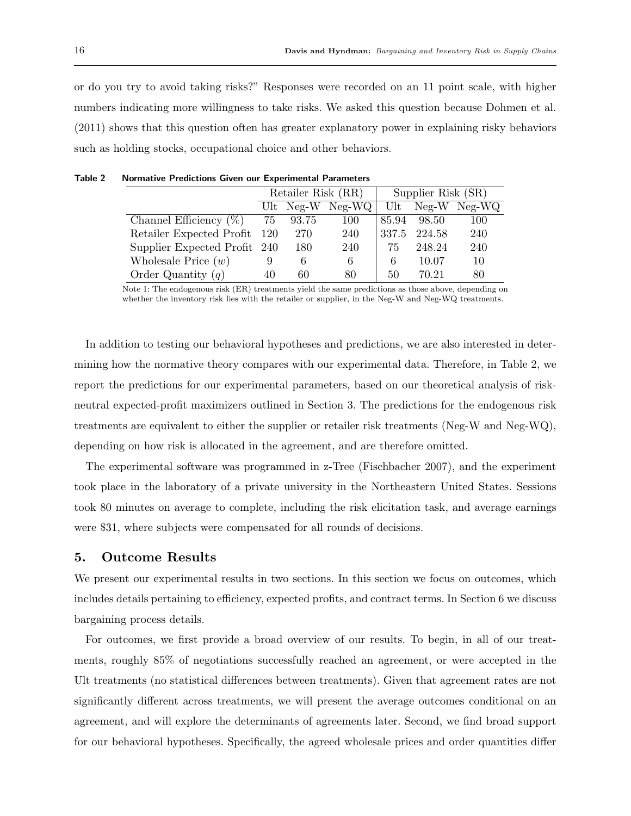or do you try to avoid taking risks?" Responses were recorded on an 11 point scale, with higher numbers indicating more willingness to take risks. We asked this question because Dohmen et al. (2011) shows that this question often has greater explanatory power in explaining risky behaviors such as holding stocks, occupational choice and other behaviors.

|                              |    | Retailer Risk (RR) |                  | Supplier Risk (SR) |              |                  |  |
|------------------------------|----|--------------------|------------------|--------------------|--------------|------------------|--|
|                              |    |                    | Ult Neg-W Neg-WQ | $_{\rm Ult}$       |              | $Neg-W$ $Neg-WQ$ |  |
| Channel Efficiency $(\%)$    | 75 | 93.75              | 100              | 85.94              | 98.50        | 100              |  |
| Retailer Expected Profit 120 |    | 270                | 240              |                    | 337.5 224.58 | 240              |  |
| Supplier Expected Profit 240 |    | 180                | 240              | 75                 | 248.24       | 240              |  |
| Wholesale Price $(w)$        | 9  | 6                  | 6                | 6                  | 10.07        | 10               |  |
| Order Quantity $(q)$         | 40 | 60                 | 80               | 50                 | 70.21        | 80               |  |

Table 2 Normative Predictions Given our Experimental Parameters

Note 1: The endogenous risk (ER) treatments yield the same predictions as those above, depending on whether the inventory risk lies with the retailer or supplier, in the Neg-W and Neg-WQ treatments.

In addition to testing our behavioral hypotheses and predictions, we are also interested in determining how the normative theory compares with our experimental data. Therefore, in Table 2, we report the predictions for our experimental parameters, based on our theoretical analysis of riskneutral expected-profit maximizers outlined in Section 3. The predictions for the endogenous risk treatments are equivalent to either the supplier or retailer risk treatments (Neg-W and Neg-WQ), depending on how risk is allocated in the agreement, and are therefore omitted.

The experimental software was programmed in z-Tree (Fischbacher 2007), and the experiment took place in the laboratory of a private university in the Northeastern United States. Sessions took 80 minutes on average to complete, including the risk elicitation task, and average earnings were \$31, where subjects were compensated for all rounds of decisions.

# 5. Outcome Results

We present our experimental results in two sections. In this section we focus on outcomes, which includes details pertaining to efficiency, expected profits, and contract terms. In Section 6 we discuss bargaining process details.

For outcomes, we first provide a broad overview of our results. To begin, in all of our treatments, roughly 85% of negotiations successfully reached an agreement, or were accepted in the Ult treatments (no statistical differences between treatments). Given that agreement rates are not significantly different across treatments, we will present the average outcomes conditional on an agreement, and will explore the determinants of agreements later. Second, we find broad support for our behavioral hypotheses. Specifically, the agreed wholesale prices and order quantities differ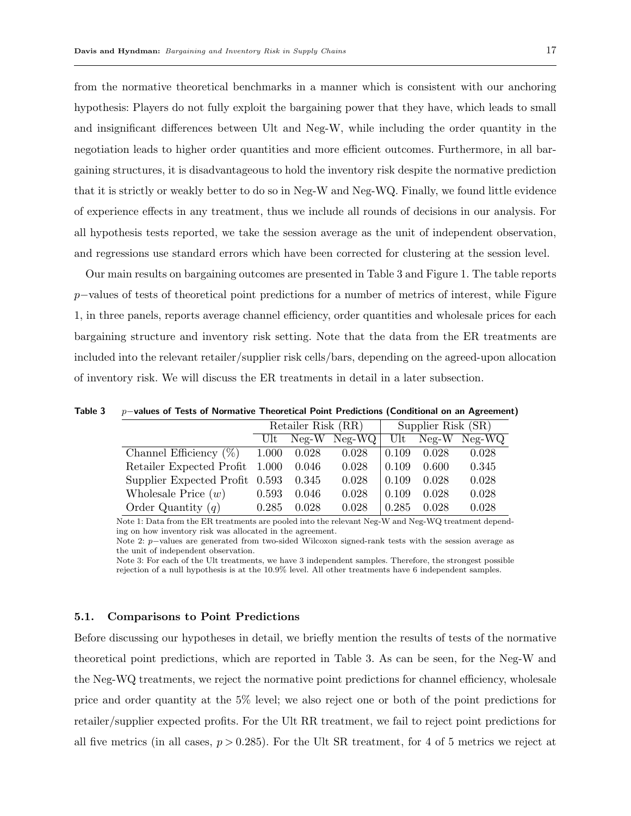from the normative theoretical benchmarks in a manner which is consistent with our anchoring hypothesis: Players do not fully exploit the bargaining power that they have, which leads to small and insignificant differences between Ult and Neg-W, while including the order quantity in the negotiation leads to higher order quantities and more efficient outcomes. Furthermore, in all bargaining structures, it is disadvantageous to hold the inventory risk despite the normative prediction that it is strictly or weakly better to do so in Neg-W and Neg-WQ. Finally, we found little evidence of experience effects in any treatment, thus we include all rounds of decisions in our analysis. For all hypothesis tests reported, we take the session average as the unit of independent observation, and regressions use standard errors which have been corrected for clustering at the session level.

Our main results on bargaining outcomes are presented in Table 3 and Figure 1. The table reports p−values of tests of theoretical point predictions for a number of metrics of interest, while Figure 1, in three panels, reports average channel efficiency, order quantities and wholesale prices for each bargaining structure and inventory risk setting. Note that the data from the ER treatments are included into the relevant retailer/supplier risk cells/bars, depending on the agreed-upon allocation of inventory risk. We will discuss the ER treatments in detail in a later subsection.

|                                      |       | Retailer Risk (RR) |                  | Supplier Risk (SR) |       |                  |  |
|--------------------------------------|-------|--------------------|------------------|--------------------|-------|------------------|--|
|                                      | Ult   |                    | $Neg-W$ $Neg-WQ$ |                    |       | Ult Neg-W Neg-WQ |  |
| Channel Efficiency $(\%)$ 1.000      |       | 0.028              | 0.028            | 0.109              | 0.028 | 0.028            |  |
| Retailer Expected Profit 1.000       |       | $0.046\,$          | 0.028            | 0.109              | 0.600 | 0.345            |  |
| Supplier Expected Profit 0.593 0.345 |       |                    | 0.028            | 0.109              | 0.028 | 0.028            |  |
| Wholesale Price $(w)$                | 0.593 | 0.046              | 0.028            | 0.109              | 0.028 | 0.028            |  |
| Order Quantity $(q)$                 | 0.285 | 0.028              | 0.028            | 0.285              | 0.028 | 0.028            |  |

Table 3 p–values of Tests of Normative Theoretical Point Predictions (Conditional on an Agreement)

Note 1: Data from the ER treatments are pooled into the relevant Neg-W and Neg-WQ treatment depending on how inventory risk was allocated in the agreement.

Note 2: p−values are generated from two-sided Wilcoxon signed-rank tests with the session average as the unit of independent observation.

Note 3: For each of the Ult treatments, we have 3 independent samples. Therefore, the strongest possible rejection of a null hypothesis is at the 10.9% level. All other treatments have 6 independent samples.

# 5.1. Comparisons to Point Predictions

Before discussing our hypotheses in detail, we briefly mention the results of tests of the normative theoretical point predictions, which are reported in Table 3. As can be seen, for the Neg-W and the Neg-WQ treatments, we reject the normative point predictions for channel efficiency, wholesale price and order quantity at the 5% level; we also reject one or both of the point predictions for retailer/supplier expected profits. For the Ult RR treatment, we fail to reject point predictions for all five metrics (in all cases,  $p > 0.285$ ). For the Ult SR treatment, for 4 of 5 metrics we reject at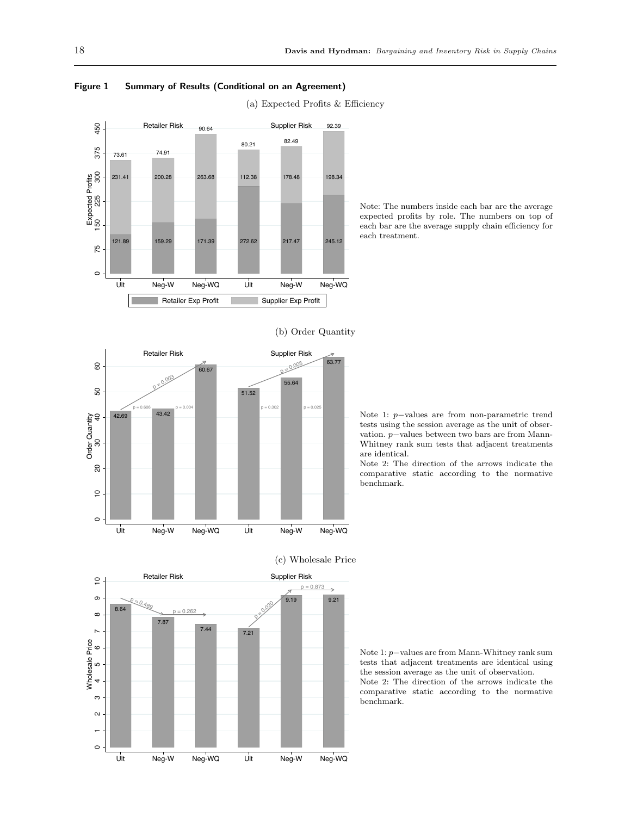

# Figure 1 Summary of Results (Conditional on an Agreement)

(a) Expected Profits & Efficiency

Note: The numbers inside each bar are the average expected profits by role. The numbers on top of each bar are the average supply chain efficiency for each treatment.





Note 1: p−values are from non-parametric trend tests using the session average as the unit of observation. p−values between two bars are from Mann-Whitney rank sum tests that adjacent treatments are identical.

Note 2: The direction of the arrows indicate the comparative static according to the normative benchmark.





Note 1: p−values are from Mann-Whitney rank sum tests that adjacent treatments are identical using the session average as the unit of observation. Note 2: The direction of the arrows indicate the comparative static according to the normative benchmark.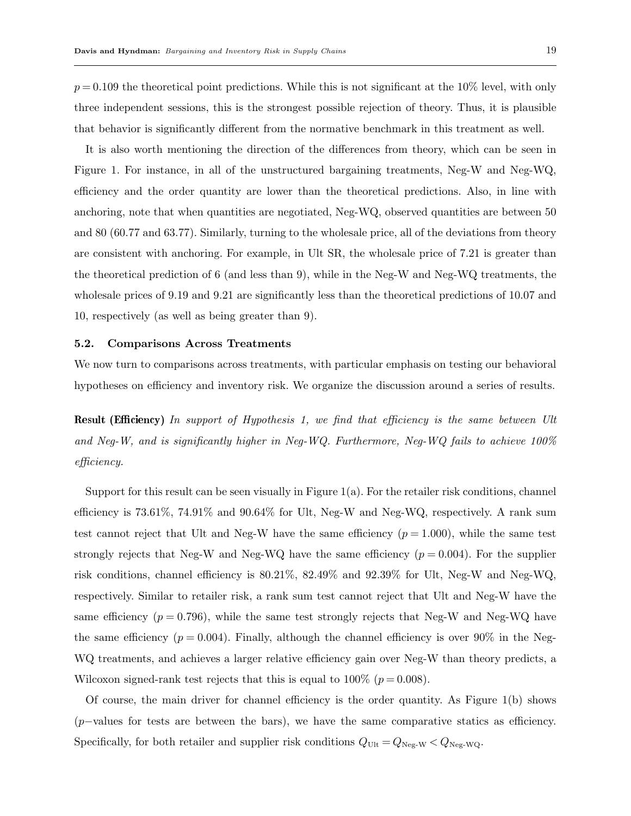$p = 0.109$  the theoretical point predictions. While this is not significant at the 10% level, with only three independent sessions, this is the strongest possible rejection of theory. Thus, it is plausible that behavior is significantly different from the normative benchmark in this treatment as well.

It is also worth mentioning the direction of the differences from theory, which can be seen in Figure 1. For instance, in all of the unstructured bargaining treatments, Neg-W and Neg-WQ, efficiency and the order quantity are lower than the theoretical predictions. Also, in line with anchoring, note that when quantities are negotiated, Neg-WQ, observed quantities are between 50 and 80 (60.77 and 63.77). Similarly, turning to the wholesale price, all of the deviations from theory are consistent with anchoring. For example, in Ult SR, the wholesale price of 7.21 is greater than the theoretical prediction of 6 (and less than 9), while in the Neg-W and Neg-WQ treatments, the wholesale prices of 9.19 and 9.21 are significantly less than the theoretical predictions of 10.07 and 10, respectively (as well as being greater than 9).

#### 5.2. Comparisons Across Treatments

We now turn to comparisons across treatments, with particular emphasis on testing our behavioral hypotheses on efficiency and inventory risk. We organize the discussion around a series of results.

**Result (Efficiency)** In support of Hypothesis 1, we find that efficiency is the same between Ult and Neg-W, and is significantly higher in Neg-WQ. Furthermore, Neg-WQ fails to achieve 100% efficiency.

Support for this result can be seen visually in Figure  $1(a)$ . For the retailer risk conditions, channel efficiency is 73.61%, 74.91% and 90.64% for Ult, Neg-W and Neg-WQ, respectively. A rank sum test cannot reject that Ult and Neg-W have the same efficiency  $(p = 1.000)$ , while the same test strongly rejects that Neg-W and Neg-WQ have the same efficiency  $(p = 0.004)$ . For the supplier risk conditions, channel efficiency is 80.21%, 82.49% and 92.39% for Ult, Neg-W and Neg-WQ, respectively. Similar to retailer risk, a rank sum test cannot reject that Ult and Neg-W have the same efficiency  $(p = 0.796)$ , while the same test strongly rejects that Neg-W and Neg-WQ have the same efficiency ( $p = 0.004$ ). Finally, although the channel efficiency is over 90% in the Neg-WQ treatments, and achieves a larger relative efficiency gain over Neg-W than theory predicts, a Wilcoxon signed-rank test rejects that this is equal to  $100\%$  ( $p = 0.008$ ).

Of course, the main driver for channel efficiency is the order quantity. As Figure 1(b) shows  $(p-\text{values for tests are between the bars})$ , we have the same comparative statics as efficiency. Specifically, for both retailer and supplier risk conditions  $Q_{\text{Ult}} = Q_{\text{Neg-W}} < Q_{\text{Neg-WQ}}$ .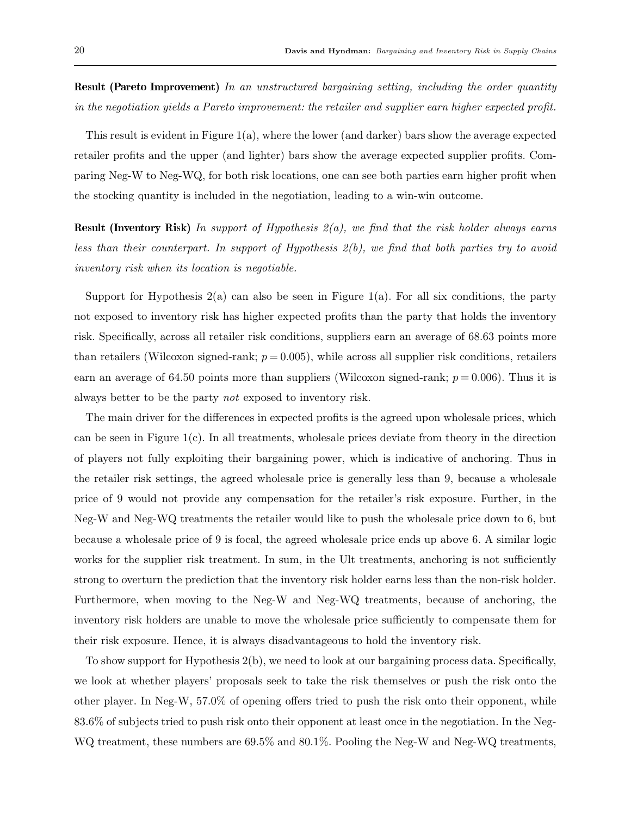Result (Pareto Improvement) In an unstructured bargaining setting, including the order quantity in the negotiation yields a Pareto improvement: the retailer and supplier earn higher expected profit.

This result is evident in Figure 1(a), where the lower (and darker) bars show the average expected retailer profits and the upper (and lighter) bars show the average expected supplier profits. Comparing Neg-W to Neg-WQ, for both risk locations, one can see both parties earn higher profit when the stocking quantity is included in the negotiation, leading to a win-win outcome.

**Result (Inventory Risk)** In support of Hypothesis  $2(a)$ , we find that the risk holder always earns less than their counterpart. In support of Hypothesis  $2(b)$ , we find that both parties try to avoid inventory risk when its location is negotiable.

Support for Hypothesis  $2(a)$  can also be seen in Figure  $1(a)$ . For all six conditions, the party not exposed to inventory risk has higher expected profits than the party that holds the inventory risk. Specifically, across all retailer risk conditions, suppliers earn an average of 68.63 points more than retailers (Wilcoxon signed-rank;  $p = 0.005$ ), while across all supplier risk conditions, retailers earn an average of 64.50 points more than suppliers (Wilcoxon signed-rank;  $p = 0.006$ ). Thus it is always better to be the party not exposed to inventory risk.

The main driver for the differences in expected profits is the agreed upon wholesale prices, which can be seen in Figure 1(c). In all treatments, wholesale prices deviate from theory in the direction of players not fully exploiting their bargaining power, which is indicative of anchoring. Thus in the retailer risk settings, the agreed wholesale price is generally less than 9, because a wholesale price of 9 would not provide any compensation for the retailer's risk exposure. Further, in the Neg-W and Neg-WQ treatments the retailer would like to push the wholesale price down to 6, but because a wholesale price of 9 is focal, the agreed wholesale price ends up above 6. A similar logic works for the supplier risk treatment. In sum, in the Ult treatments, anchoring is not sufficiently strong to overturn the prediction that the inventory risk holder earns less than the non-risk holder. Furthermore, when moving to the Neg-W and Neg-WQ treatments, because of anchoring, the inventory risk holders are unable to move the wholesale price sufficiently to compensate them for their risk exposure. Hence, it is always disadvantageous to hold the inventory risk.

To show support for Hypothesis 2(b), we need to look at our bargaining process data. Specifically, we look at whether players' proposals seek to take the risk themselves or push the risk onto the other player. In Neg-W, 57.0% of opening offers tried to push the risk onto their opponent, while 83.6% of subjects tried to push risk onto their opponent at least once in the negotiation. In the Neg-WQ treatment, these numbers are 69.5% and 80.1%. Pooling the Neg-W and Neg-WQ treatments,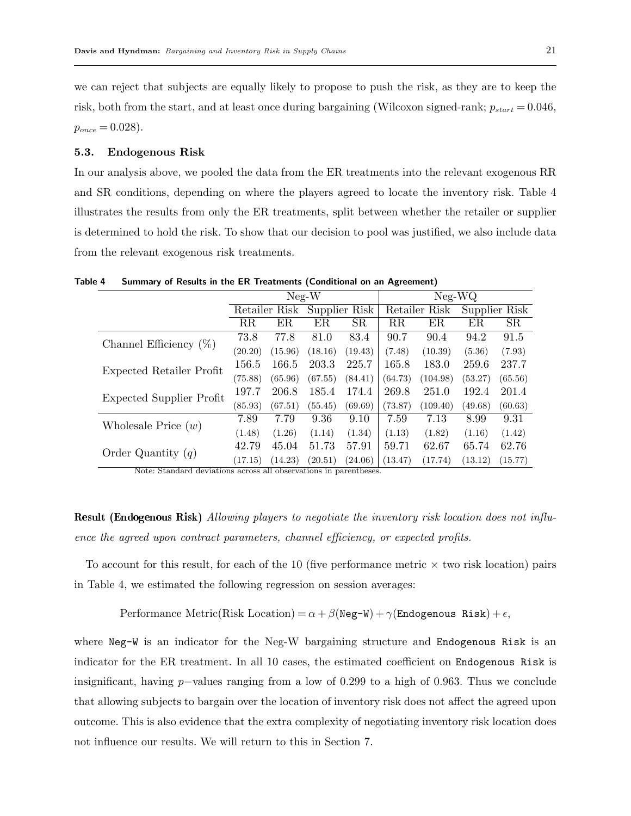we can reject that subjects are equally likely to propose to push the risk, as they are to keep the risk, both from the start, and at least once during bargaining (Wilcoxon signed-rank;  $p_{start} = 0.046$ ,  $p_{once} = 0.028$ .

# 5.3. Endogenous Risk

In our analysis above, we pooled the data from the ER treatments into the relevant exogenous RR and SR conditions, depending on where the players agreed to locate the inventory risk. Table 4 illustrates the results from only the ER treatments, split between whether the retailer or supplier is determined to hold the risk. To show that our decision to pool was justified, we also include data from the relevant exogenous risk treatments.

|  |                                                                |             |         | $Neg-W$                     |         | $Neg-WQ$    |               |               |         |  |
|--|----------------------------------------------------------------|-------------|---------|-----------------------------|---------|-------------|---------------|---------------|---------|--|
|  |                                                                |             |         | Retailer Risk Supplier Risk |         |             | Retailer Risk | Supplier Risk |         |  |
|  |                                                                | $_{\rm RR}$ | ΕR      | ER                          | SR      | $_{\rm RR}$ | ER            | ER            | SR      |  |
|  | Channel Efficiency $(\%)$                                      | 73.8        | 77.8    | 81.0                        | 83.4    | 90.7        | 90.4          | 94.2          | 91.5    |  |
|  |                                                                | (20.20)     | (15.96) | (18.16)                     | (19.43) | (7.48)      | (10.39)       | (5.36)        | (7.93)  |  |
|  | Expected Retailer Profit                                       | 156.5       | 166.5   | 203.3                       | 225.7   | 165.8       | 183.0         | 259.6         | 237.7   |  |
|  |                                                                | (75.88)     | (65.96) | (67.55)                     | (84.41) | (64.73)     | (104.98)      | (53.27)       | (65.56) |  |
|  | <b>Expected Supplier Profit</b>                                | 197.7       | 206.8   | 185.4                       | 174.4   | 269.8       | 251.0         | 192.4         | 201.4   |  |
|  |                                                                | (85.93)     | (67.51) | (55.45)                     | (69.69) | (73.87)     | (109.40)      | (49.68)       | (60.63) |  |
|  | Wholesale Price $(w)$                                          | 7.89        | 7.79    | 9.36                        | 9.10    | 7.59        | 7.13          | 8.99          | 9.31    |  |
|  |                                                                | (1.48)      | (1.26)  | (1.14)                      | (1.34)  | (1.13)      | (1.82)        | (1.16)        | (1.42)  |  |
|  |                                                                | 42.79       | 45.04   | 51.73                       | 57.91   | 59.71       | 62.67         | 65.74         | 62.76   |  |
|  | Order Quantity $(q)$                                           | (17.15)     | (14.23) | (20.51)                     | (24.06) | (13.47)     | (17.74)       | (13.12)       | (15.77) |  |
|  | Note: Standard develope agrees all observations in parentheses |             |         |                             |         |             |               |               |         |  |

Table 4 Summary of Results in the ER Treatments (Conditional on an Agreement)

Note: Standard deviations across all observations in parentheses.

Result (Endogenous Risk) Allowing players to negotiate the inventory risk location does not influence the agreed upon contract parameters, channel efficiency, or expected profits.

To account for this result, for each of the 10 (five performance metric  $\times$  two risk location) pairs in Table 4, we estimated the following regression on session averages:

Performance Metric(Risk Location) =  $\alpha + \beta$ (Neg-W) +  $\gamma$ (Endogenous Risk) +  $\epsilon$ ,

where Neg-W is an indicator for the Neg-W bargaining structure and Endogenous Risk is an indicator for the ER treatment. In all 10 cases, the estimated coefficient on Endogenous Risk is insignificant, having p−values ranging from a low of 0.299 to a high of 0.963. Thus we conclude that allowing subjects to bargain over the location of inventory risk does not affect the agreed upon outcome. This is also evidence that the extra complexity of negotiating inventory risk location does not influence our results. We will return to this in Section 7.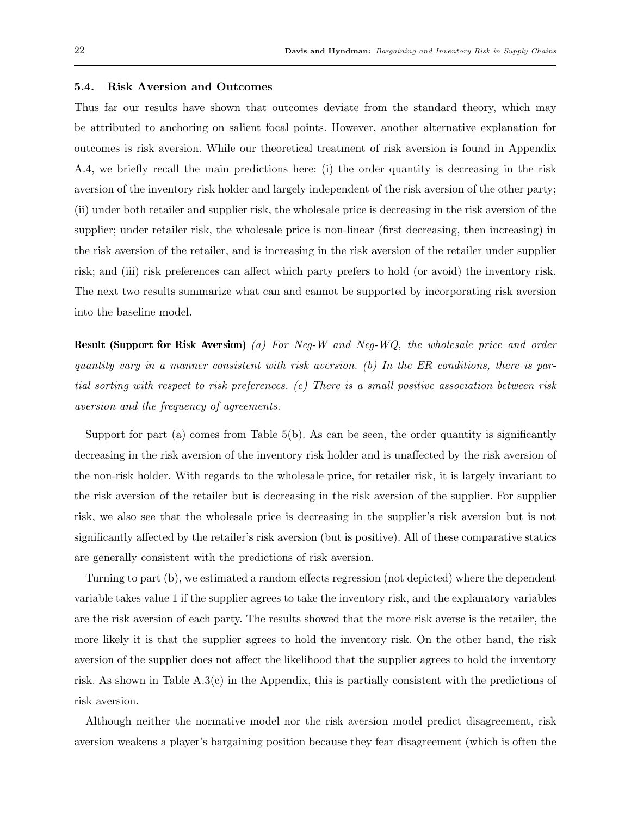#### 5.4. Risk Aversion and Outcomes

Thus far our results have shown that outcomes deviate from the standard theory, which may be attributed to anchoring on salient focal points. However, another alternative explanation for outcomes is risk aversion. While our theoretical treatment of risk aversion is found in Appendix A.4, we briefly recall the main predictions here: (i) the order quantity is decreasing in the risk aversion of the inventory risk holder and largely independent of the risk aversion of the other party; (ii) under both retailer and supplier risk, the wholesale price is decreasing in the risk aversion of the supplier; under retailer risk, the wholesale price is non-linear (first decreasing, then increasing) in the risk aversion of the retailer, and is increasing in the risk aversion of the retailer under supplier risk; and (iii) risk preferences can affect which party prefers to hold (or avoid) the inventory risk. The next two results summarize what can and cannot be supported by incorporating risk aversion into the baseline model.

Result (Support for Risk Aversion) (a) For Neg-W and Neg-WQ, the wholesale price and order quantity vary in a manner consistent with risk aversion. (b) In the ER conditions, there is partial sorting with respect to risk preferences. (c) There is a small positive association between risk aversion and the frequency of agreements.

Support for part (a) comes from Table  $5(b)$ . As can be seen, the order quantity is significantly decreasing in the risk aversion of the inventory risk holder and is unaffected by the risk aversion of the non-risk holder. With regards to the wholesale price, for retailer risk, it is largely invariant to the risk aversion of the retailer but is decreasing in the risk aversion of the supplier. For supplier risk, we also see that the wholesale price is decreasing in the supplier's risk aversion but is not significantly affected by the retailer's risk aversion (but is positive). All of these comparative statics are generally consistent with the predictions of risk aversion.

Turning to part (b), we estimated a random effects regression (not depicted) where the dependent variable takes value 1 if the supplier agrees to take the inventory risk, and the explanatory variables are the risk aversion of each party. The results showed that the more risk averse is the retailer, the more likely it is that the supplier agrees to hold the inventory risk. On the other hand, the risk aversion of the supplier does not affect the likelihood that the supplier agrees to hold the inventory risk. As shown in Table A.3(c) in the Appendix, this is partially consistent with the predictions of risk aversion.

Although neither the normative model nor the risk aversion model predict disagreement, risk aversion weakens a player's bargaining position because they fear disagreement (which is often the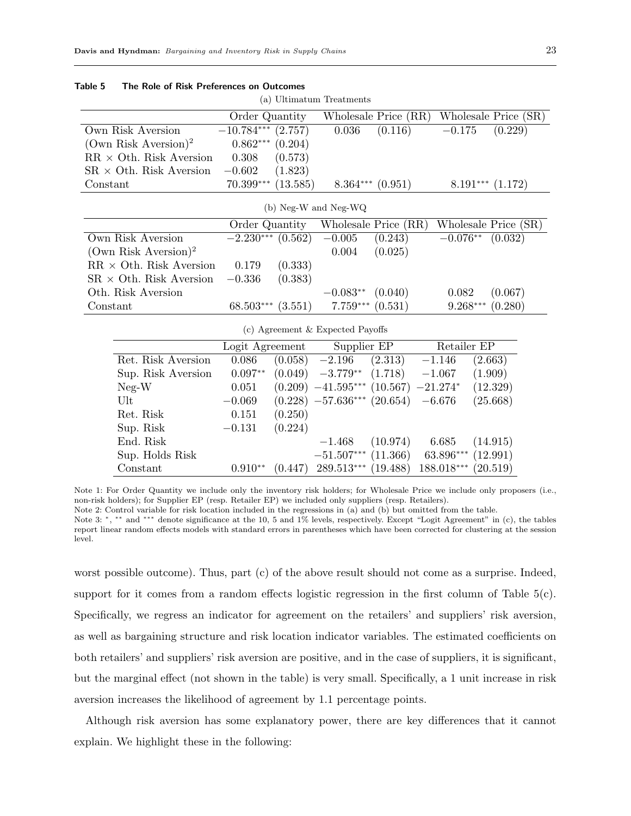| (a) Ultimatum Treatments                |                      |          |                                   |                      |                        |                      |  |  |  |  |
|-----------------------------------------|----------------------|----------|-----------------------------------|----------------------|------------------------|----------------------|--|--|--|--|
|                                         | Order Quantity       |          | Wholesale Price (RR)              |                      |                        | Wholesale Price (SR) |  |  |  |  |
| Own Risk Aversion                       | $-10.784***$ (2.757) |          | 0.036                             | (0.116)              | $-0.175$               | (0.229)              |  |  |  |  |
| (Own Risk Aversion) <sup>2</sup>        | $0.862***$           | (0.204)  |                                   |                      |                        |                      |  |  |  |  |
| $RR \times Oth$ . Risk Aversion         | 0.308                | (0.573)  |                                   |                      |                        |                      |  |  |  |  |
| $\text{SR}$ $\times$ Oth. Risk Aversion | $-0.602$             | (1.823)  |                                   |                      |                        |                      |  |  |  |  |
| Constant                                | 70.399***            | (13.585) |                                   | $8.364***$ $(0.951)$ |                        | $8.191***$ $(1.172)$ |  |  |  |  |
| (b) Neg-W and Neg-WQ                    |                      |          |                                   |                      |                        |                      |  |  |  |  |
|                                         | Order Quantity       |          | Wholesale Price (RR)              |                      |                        | Wholesale Price (SR) |  |  |  |  |
| Own Risk Aversion                       | $-2.230***$ (0.562)  |          | $-0.005$                          | (0.243)              | $-0.076***$            | (0.032)              |  |  |  |  |
| (Own Risk Aversion) <sup>2</sup>        |                      |          | 0.004                             | (0.025)              |                        |                      |  |  |  |  |
| $RR \times Oth$ . Risk Aversion         | 0.179                | (0.333)  |                                   |                      |                        |                      |  |  |  |  |
| $SR \times$ Oth. Risk Aversion          | $-0.336$             | (0.383)  |                                   |                      |                        |                      |  |  |  |  |
| Oth. Risk Aversion                      |                      |          | $-0.083**$                        | (0.040)              | 0.082                  | (0.067)              |  |  |  |  |
| Constant                                | $68.503***$          | (3.551)  | $7.759***$                        | (0.531)              | $9.268^{\ast\ast\ast}$ | (0.280)              |  |  |  |  |
|                                         |                      |          | (c) Agreement & Expected Payoffs  |                      |                        |                      |  |  |  |  |
|                                         | Logit Agreement      |          | Supplier EP                       |                      | Retailer EP            |                      |  |  |  |  |
| Ret. Risk Aversion                      | 0.086                | (0.058)  | $-2.196$                          | (2.313)              | $-1.146$               | (2.663)              |  |  |  |  |
| Sup. Risk Aversion                      | $0.097**$            | (0.049)  | $-3.779**$                        | (1.718)              | $-1.067$               | (1.909)              |  |  |  |  |
| $Neg-W$                                 | 0.051                |          | $(0.209)$ $-41.595***$ $(10.567)$ |                      | $-21.274^{\ast}$       | (12.329)             |  |  |  |  |
| Ult                                     | $-0.069$             |          | $(0.228)$ -57.636*** (20.654)     |                      | $-6.676$               | (25.668)             |  |  |  |  |
| Ret. Risk                               | 0.151                | (0.250)  |                                   |                      |                        |                      |  |  |  |  |
| Sup. Risk                               | $-0.131$             | (0.224)  |                                   |                      |                        |                      |  |  |  |  |
| End. Risk                               |                      |          | $-1.468$                          | (10.974)             | 6.685                  | (14.915)             |  |  |  |  |
| Sup. Holds Risk                         |                      |          | $-51.507***$                      | (11.366)             | $63.896***$            | (12.991)             |  |  |  |  |
| Constant                                | $0.910**$            | (0.447)  | 289.513***                        | (19.488)             | 188.018***             | (20.519)             |  |  |  |  |

#### Table 5 The Role of Risk Preferences on Outcomes

Note 1: For Order Quantity we include only the inventory risk holders; for Wholesale Price we include only proposers (i.e., non-risk holders); for Supplier EP (resp. Retailer EP) we included only suppliers (resp. Retailers).

Note 2: Control variable for risk location included in the regressions in (a) and (b) but omitted from the table.

Note 3: \*, \*\* and \*\*\* denote significance at the 10, 5 and 1% levels, respectively. Except "Logit Agreement" in (c), the tables report linear random effects models with standard errors in parentheses which have been corrected for clustering at the session level.

worst possible outcome). Thus, part (c) of the above result should not come as a surprise. Indeed, support for it comes from a random effects logistic regression in the first column of Table  $5(c)$ . Specifically, we regress an indicator for agreement on the retailers' and suppliers' risk aversion, as well as bargaining structure and risk location indicator variables. The estimated coefficients on both retailers' and suppliers' risk aversion are positive, and in the case of suppliers, it is significant, but the marginal effect (not shown in the table) is very small. Specifically, a 1 unit increase in risk aversion increases the likelihood of agreement by 1.1 percentage points.

Although risk aversion has some explanatory power, there are key differences that it cannot explain. We highlight these in the following: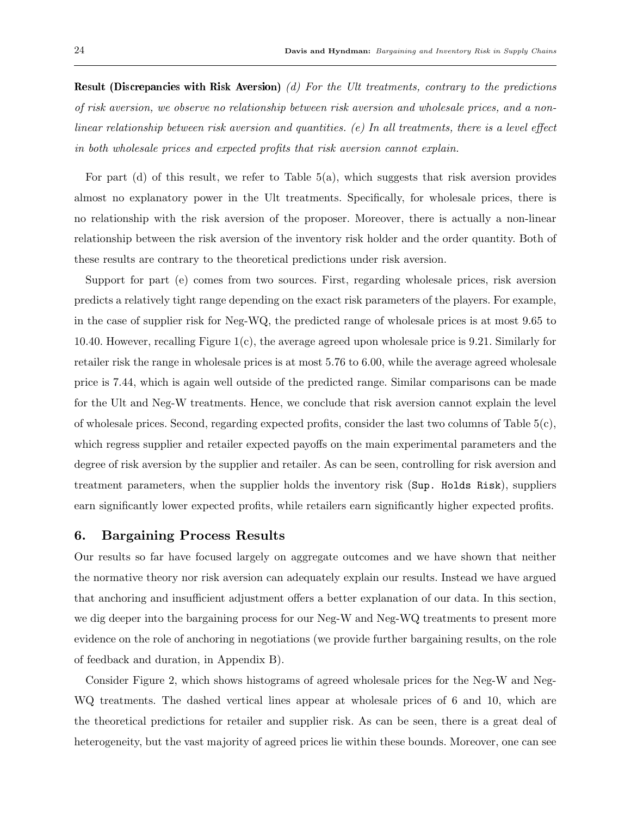Result (Discrepancies with Risk Aversion) (d) For the Ult treatments, contrary to the predictions of risk aversion, we observe no relationship between risk aversion and wholesale prices, and a nonlinear relationship between risk aversion and quantities. (e) In all treatments, there is a level effect in both wholesale prices and expected profits that risk aversion cannot explain.

For part (d) of this result, we refer to Table  $5(a)$ , which suggests that risk aversion provides almost no explanatory power in the Ult treatments. Specifically, for wholesale prices, there is no relationship with the risk aversion of the proposer. Moreover, there is actually a non-linear relationship between the risk aversion of the inventory risk holder and the order quantity. Both of these results are contrary to the theoretical predictions under risk aversion.

Support for part (e) comes from two sources. First, regarding wholesale prices, risk aversion predicts a relatively tight range depending on the exact risk parameters of the players. For example, in the case of supplier risk for Neg-WQ, the predicted range of wholesale prices is at most 9.65 to 10.40. However, recalling Figure 1(c), the average agreed upon wholesale price is 9.21. Similarly for retailer risk the range in wholesale prices is at most 5.76 to 6.00, while the average agreed wholesale price is 7.44, which is again well outside of the predicted range. Similar comparisons can be made for the Ult and Neg-W treatments. Hence, we conclude that risk aversion cannot explain the level of wholesale prices. Second, regarding expected profits, consider the last two columns of Table  $5(c)$ , which regress supplier and retailer expected payoffs on the main experimental parameters and the degree of risk aversion by the supplier and retailer. As can be seen, controlling for risk aversion and treatment parameters, when the supplier holds the inventory risk (Sup. Holds Risk), suppliers earn significantly lower expected profits, while retailers earn significantly higher expected profits.

# 6. Bargaining Process Results

Our results so far have focused largely on aggregate outcomes and we have shown that neither the normative theory nor risk aversion can adequately explain our results. Instead we have argued that anchoring and insufficient adjustment offers a better explanation of our data. In this section, we dig deeper into the bargaining process for our Neg-W and Neg-WQ treatments to present more evidence on the role of anchoring in negotiations (we provide further bargaining results, on the role of feedback and duration, in Appendix B).

Consider Figure 2, which shows histograms of agreed wholesale prices for the Neg-W and Neg-WQ treatments. The dashed vertical lines appear at wholesale prices of 6 and 10, which are the theoretical predictions for retailer and supplier risk. As can be seen, there is a great deal of heterogeneity, but the vast majority of agreed prices lie within these bounds. Moreover, one can see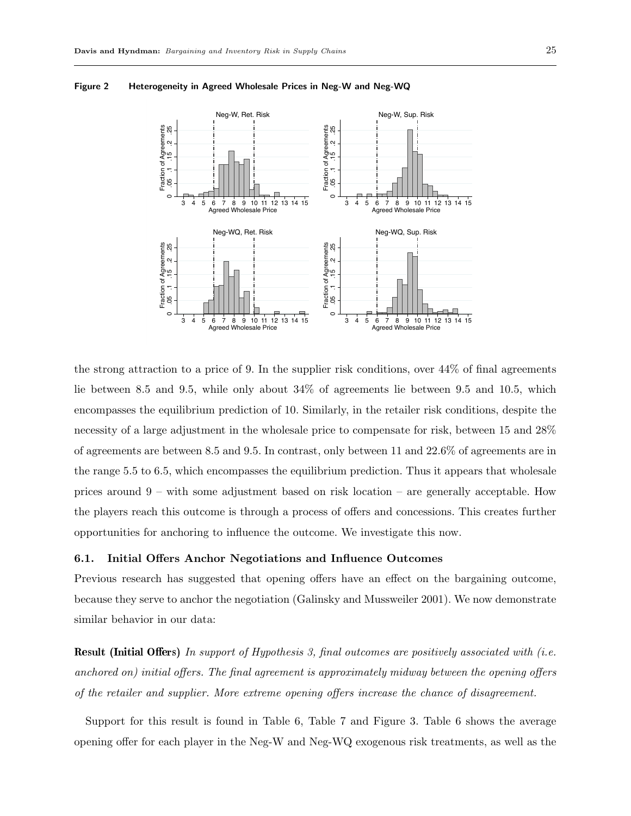

#### Figure 2 Heterogeneity in Agreed Wholesale Prices in Neg-W and Neg-WQ

the strong attraction to a price of 9. In the supplier risk conditions, over 44% of final agreements lie between 8.5 and 9.5, while only about 34% of agreements lie between 9.5 and 10.5, which encompasses the equilibrium prediction of 10. Similarly, in the retailer risk conditions, despite the necessity of a large adjustment in the wholesale price to compensate for risk, between 15 and 28% of agreements are between 8.5 and 9.5. In contrast, only between 11 and 22.6% of agreements are in the range 5.5 to 6.5, which encompasses the equilibrium prediction. Thus it appears that wholesale prices around 9 – with some adjustment based on risk location – are generally acceptable. How the players reach this outcome is through a process of offers and concessions. This creates further opportunities for anchoring to influence the outcome. We investigate this now.

## 6.1. Initial Offers Anchor Negotiations and Influence Outcomes

Previous research has suggested that opening offers have an effect on the bargaining outcome, because they serve to anchor the negotiation (Galinsky and Mussweiler 2001). We now demonstrate similar behavior in our data:

**Result (Initial Offers)** In support of Hypothesis 3, final outcomes are positively associated with  $(i.e.$ anchored on) initial offers. The final agreement is approximately midway between the opening offers of the retailer and supplier. More extreme opening offers increase the chance of disagreement.

Support for this result is found in Table 6, Table 7 and Figure 3. Table 6 shows the average opening offer for each player in the Neg-W and Neg-WQ exogenous risk treatments, as well as the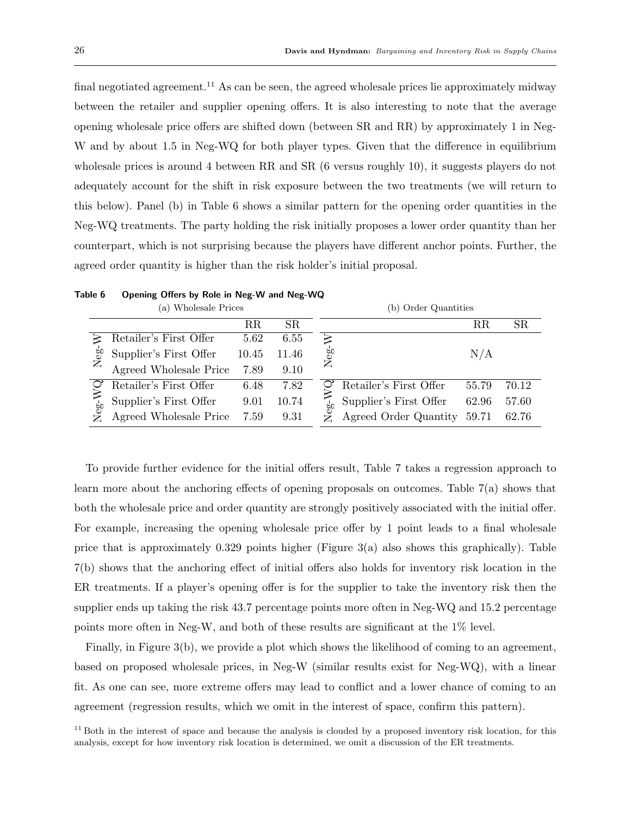final negotiated agreement.<sup>11</sup> As can be seen, the agreed wholesale prices lie approximately midway between the retailer and supplier opening offers. It is also interesting to note that the average opening wholesale price offers are shifted down (between SR and RR) by approximately 1 in Neg-W and by about 1.5 in Neg-WQ for both player types. Given that the difference in equilibrium wholesale prices is around 4 between RR and SR (6 versus roughly 10), it suggests players do not adequately account for the shift in risk exposure between the two treatments (we will return to this below). Panel (b) in Table 6 shows a similar pattern for the opening order quantities in the Neg-WQ treatments. The party holding the risk initially proposes a lower order quantity than her counterpart, which is not surprising because the players have different anchor points. Further, the agreed order quantity is higher than the risk holder's initial proposal.

|      | (a) Wholesale Prices   |             |       | (b) Order Quantities                            |  |  |  |  |  |
|------|------------------------|-------------|-------|-------------------------------------------------|--|--|--|--|--|
|      |                        | $_{\rm RR}$ | SR.   | SR<br>$_{\rm RR}$                               |  |  |  |  |  |
|      | Retailer's First Offer | 5.62        | 6.55  | ≳                                               |  |  |  |  |  |
| Neg. | Supplier's First Offer | 10.45       | 11.46 | Neg-<br>N/A                                     |  |  |  |  |  |
|      | Agreed Wholesale Price | 7.89        | 9.10  |                                                 |  |  |  |  |  |
|      | Retailer's First Offer | 6.48        | 7.82  | Retailer's First Offer<br>70.12<br>55.79        |  |  |  |  |  |
|      | Supplier's First Offer | 9.01        | 10.74 | Supplier's First Offer<br>62.96<br>57.60        |  |  |  |  |  |
| Neg- | Agreed Wholesale Price | 7.59        | 9.31  | Neg-<br>Agreed Order Quantity<br>59.71<br>62.76 |  |  |  |  |  |

Table 6 Opening Offers by Role in Neg-W and Neg-WQ

To provide further evidence for the initial offers result, Table 7 takes a regression approach to learn more about the anchoring effects of opening proposals on outcomes. Table 7(a) shows that both the wholesale price and order quantity are strongly positively associated with the initial offer. For example, increasing the opening wholesale price offer by 1 point leads to a final wholesale price that is approximately 0.329 points higher (Figure 3(a) also shows this graphically). Table 7(b) shows that the anchoring effect of initial offers also holds for inventory risk location in the ER treatments. If a player's opening offer is for the supplier to take the inventory risk then the supplier ends up taking the risk 43.7 percentage points more often in Neg-WQ and 15.2 percentage points more often in Neg-W, and both of these results are significant at the 1% level.

Finally, in Figure 3(b), we provide a plot which shows the likelihood of coming to an agreement, based on proposed wholesale prices, in Neg-W (similar results exist for Neg-WQ), with a linear fit. As one can see, more extreme offers may lead to conflict and a lower chance of coming to an agreement (regression results, which we omit in the interest of space, confirm this pattern).

<sup>11</sup> Both in the interest of space and because the analysis is clouded by a proposed inventory risk location, for this analysis, except for how inventory risk location is determined, we omit a discussion of the ER treatments.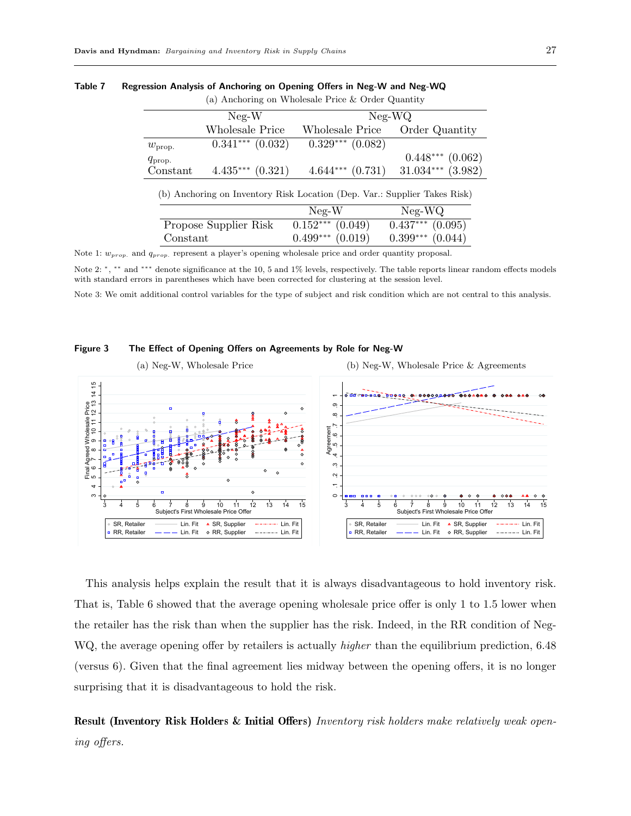| (a) Anchoring on Wholesale Price & Order Quantity                         |                       |                      |                       |  |  |  |  |  |  |
|---------------------------------------------------------------------------|-----------------------|----------------------|-----------------------|--|--|--|--|--|--|
|                                                                           | $Neg-W$               | $Neg-WQ$             |                       |  |  |  |  |  |  |
|                                                                           | Wholesale Price       | Wholesale Price      | Order Quantity        |  |  |  |  |  |  |
| $w_{\text{prop.}}$                                                        | $0.341***$ $(0.032)$  | $0.329***$ $(0.082)$ |                       |  |  |  |  |  |  |
| $q_{\text{prop.}}$                                                        |                       |                      | $0.448***$ $(0.062)$  |  |  |  |  |  |  |
| Constant                                                                  | $4.435***$ $(0.321)$  | $4.644***$ $(0.731)$ | $31.034***$ $(3.982)$ |  |  |  |  |  |  |
| (b) Anchoring on Inventory Risk Location (Dep. Var.: Supplier Takes Risk) |                       |                      |                       |  |  |  |  |  |  |
| $Neg-WQ$<br>$Neg-W$                                                       |                       |                      |                       |  |  |  |  |  |  |
|                                                                           | Propose Supplier Risk | $0.152***$ $(0.049)$ | $0.437***$ $(0.095)$  |  |  |  |  |  |  |

| Table 7 |  | Regression Analysis of Anchoring on Opening Offers in Neg-W and Neg-WQ |  |  |
|---------|--|------------------------------------------------------------------------|--|--|
|         |  |                                                                        |  |  |

Note 1:  $w_{prop.}$  and  $q_{prop.}$  represent a player's opening wholesale price and order quantity proposal.

Note 2: \*, \*\* and \*\*\* denote significance at the 10, 5 and 1% levels, respectively. The table reports linear random effects models with standard errors in parentheses which have been corrected for clustering at the session level.

Constant  $0.499***$   $(0.019)$   $0.399***$   $(0.044)$ 

Note 3: We omit additional control variables for the type of subject and risk condition which are not central to this analysis.



Figure 3 The Effect of Opening Offers on Agreements by Role for Neg-W

This analysis helps explain the result that it is always disadvantageous to hold inventory risk. That is, Table 6 showed that the average opening wholesale price offer is only 1 to 1.5 lower when the retailer has the risk than when the supplier has the risk. Indeed, in the RR condition of Neg-WQ, the average opening offer by retailers is actually *higher* than the equilibrium prediction, 6.48 (versus 6). Given that the final agreement lies midway between the opening offers, it is no longer surprising that it is disadvantageous to hold the risk.

Result (Inventory Risk Holders & Initial Offers) Inventory risk holders make relatively weak opening offers.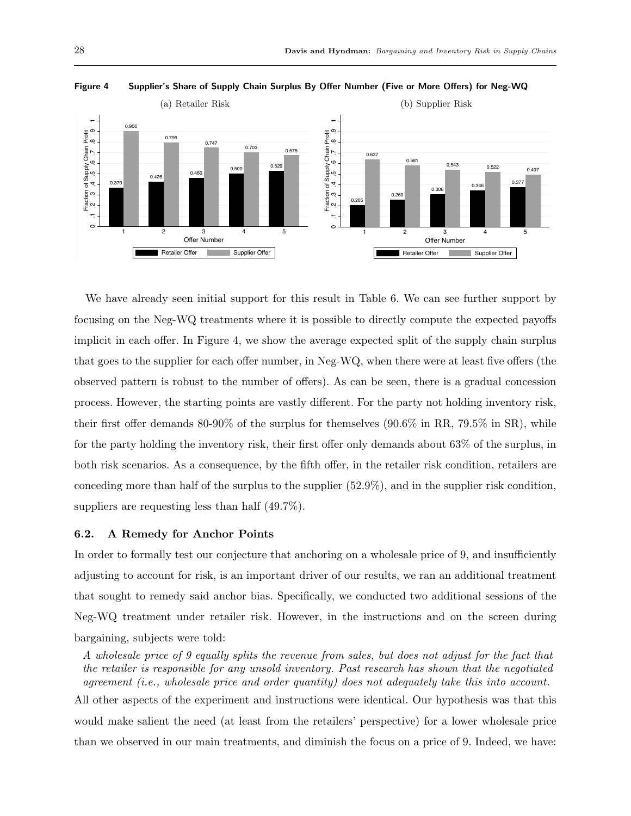

Figure 4 Supplier's Share of Supply Chain Surplus By Offer Number (Five or More Offers) for Neg-WQ

We have already seen initial support for this result in Table 6. We can see further support by focusing on the Neg-WQ treatments where it is possible to directly compute the expected payoffs implicit in each offer. In Figure 4, we show the average expected split of the supply chain surplus that goes to the supplier for each offer number, in Neg-WQ, when there were at least five offers (the observed pattern is robust to the number of offers). As can be seen, there is a gradual concession process. However, the starting points are vastly different. For the party not holding inventory risk, their first offer demands 80-90% of the surplus for themselves (90.6% in RR, 79.5% in SR), while for the party holding the inventory risk, their first offer only demands about 63% of the surplus, in both risk scenarios. As a consequence, by the fifth offer, in the retailer risk condition, retailers are conceding more than half of the surplus to the supplier (52.9%), and in the supplier risk condition, suppliers are requesting less than half (49.7%).

# 6.2. A Remedy for Anchor Points

In order to formally test our conjecture that anchoring on a wholesale price of 9, and insufficiently adjusting to account for risk, is an important driver of our results, we ran an additional treatment that sought to remedy said anchor bias. Specifically, we conducted two additional sessions of the Neg-WQ treatment under retailer risk. However, in the instructions and on the screen during bargaining, subjects were told:

A wholesale price of 9 equally splits the revenue from sales, but does not adjust for the fact that the retailer is responsible for any unsold inventory. Past research has shown that the negotiated agreement (i.e., wholesale price and order quantity) does not adequately take this into account. All other aspects of the experiment and instructions were identical. Our hypothesis was that this would make salient the need (at least from the retailers' perspective) for a lower wholesale price than we observed in our main treatments, and diminish the focus on a price of 9. Indeed, we have: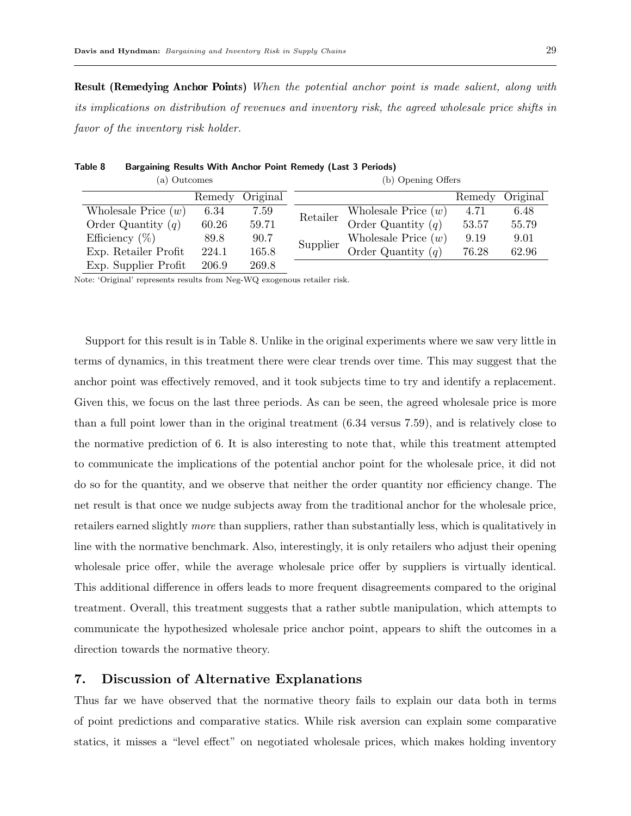Result (Remedying Anchor Points) When the potential anchor point is made salient, along with its implications on distribution of revenues and inventory risk, the agreed wholesale price shifts in favor of the inventory risk holder.

| (a) Outcomes          |        |          | (b) Opening Offers |                       |        |          |  |  |  |
|-----------------------|--------|----------|--------------------|-----------------------|--------|----------|--|--|--|
|                       | Remedy | Original |                    |                       | Remedy | Original |  |  |  |
| Wholesale Price $(w)$ | 6.34   | 7.59     | Retailer           | Wholesale Price $(w)$ | 4.71   | 6.48     |  |  |  |
| Order Quantity $(q)$  | 60.26  | 59.71    |                    | Order Quantity $(q)$  | 53.57  | 55.79    |  |  |  |
| Efficiency $(\%)$     | 89.8   | 90.7     |                    | Wholesale Price $(w)$ | 9.19   | 9.01     |  |  |  |
| Exp. Retailer Profit  | 224.1  | 165.8    | Supplier           | Order Quantity $(q)$  | 76.28  | 62.96    |  |  |  |
| Exp. Supplier Profit  | 206.9  | 269.8    |                    |                       |        |          |  |  |  |

# Table 8 Bargaining Results With Anchor Point Remedy (Last 3 Periods)

Note: 'Original' represents results from Neg-WQ exogenous retailer risk.

Support for this result is in Table 8. Unlike in the original experiments where we saw very little in terms of dynamics, in this treatment there were clear trends over time. This may suggest that the anchor point was effectively removed, and it took subjects time to try and identify a replacement. Given this, we focus on the last three periods. As can be seen, the agreed wholesale price is more than a full point lower than in the original treatment (6.34 versus 7.59), and is relatively close to the normative prediction of 6. It is also interesting to note that, while this treatment attempted to communicate the implications of the potential anchor point for the wholesale price, it did not do so for the quantity, and we observe that neither the order quantity nor efficiency change. The net result is that once we nudge subjects away from the traditional anchor for the wholesale price, retailers earned slightly more than suppliers, rather than substantially less, which is qualitatively in line with the normative benchmark. Also, interestingly, it is only retailers who adjust their opening wholesale price offer, while the average wholesale price offer by suppliers is virtually identical. This additional difference in offers leads to more frequent disagreements compared to the original treatment. Overall, this treatment suggests that a rather subtle manipulation, which attempts to communicate the hypothesized wholesale price anchor point, appears to shift the outcomes in a direction towards the normative theory.

# 7. Discussion of Alternative Explanations

Thus far we have observed that the normative theory fails to explain our data both in terms of point predictions and comparative statics. While risk aversion can explain some comparative statics, it misses a "level effect" on negotiated wholesale prices, which makes holding inventory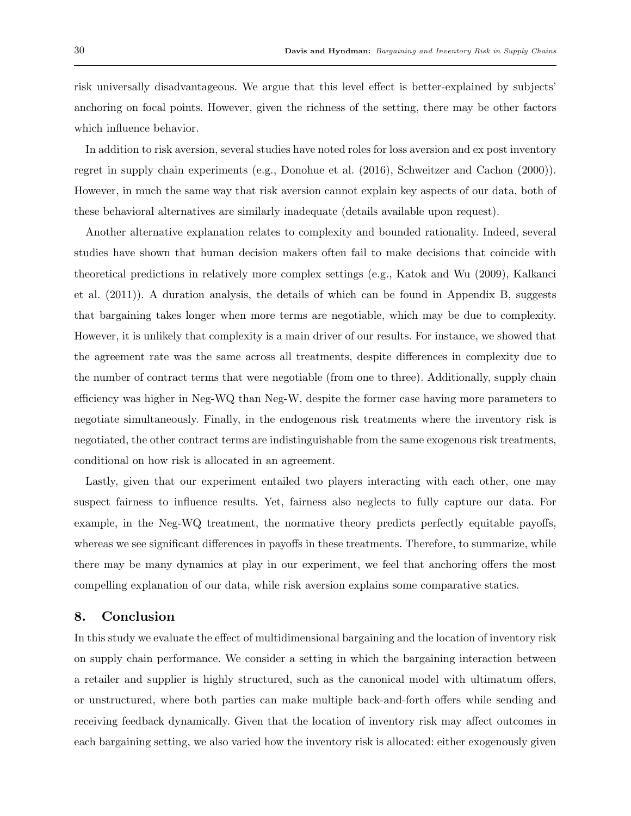risk universally disadvantageous. We argue that this level effect is better-explained by subjects' anchoring on focal points. However, given the richness of the setting, there may be other factors which influence behavior.

In addition to risk aversion, several studies have noted roles for loss aversion and ex post inventory regret in supply chain experiments (e.g., Donohue et al. (2016), Schweitzer and Cachon (2000)). However, in much the same way that risk aversion cannot explain key aspects of our data, both of these behavioral alternatives are similarly inadequate (details available upon request).

Another alternative explanation relates to complexity and bounded rationality. Indeed, several studies have shown that human decision makers often fail to make decisions that coincide with theoretical predictions in relatively more complex settings (e.g., Katok and Wu (2009), Kalkanci et al. (2011)). A duration analysis, the details of which can be found in Appendix B, suggests that bargaining takes longer when more terms are negotiable, which may be due to complexity. However, it is unlikely that complexity is a main driver of our results. For instance, we showed that the agreement rate was the same across all treatments, despite differences in complexity due to the number of contract terms that were negotiable (from one to three). Additionally, supply chain efficiency was higher in Neg-WQ than Neg-W, despite the former case having more parameters to negotiate simultaneously. Finally, in the endogenous risk treatments where the inventory risk is negotiated, the other contract terms are indistinguishable from the same exogenous risk treatments, conditional on how risk is allocated in an agreement.

Lastly, given that our experiment entailed two players interacting with each other, one may suspect fairness to influence results. Yet, fairness also neglects to fully capture our data. For example, in the Neg-WQ treatment, the normative theory predicts perfectly equitable payoffs, whereas we see significant differences in payoffs in these treatments. Therefore, to summarize, while there may be many dynamics at play in our experiment, we feel that anchoring offers the most compelling explanation of our data, while risk aversion explains some comparative statics.

# 8. Conclusion

In this study we evaluate the effect of multidimensional bargaining and the location of inventory risk on supply chain performance. We consider a setting in which the bargaining interaction between a retailer and supplier is highly structured, such as the canonical model with ultimatum offers, or unstructured, where both parties can make multiple back-and-forth offers while sending and receiving feedback dynamically. Given that the location of inventory risk may affect outcomes in each bargaining setting, we also varied how the inventory risk is allocated: either exogenously given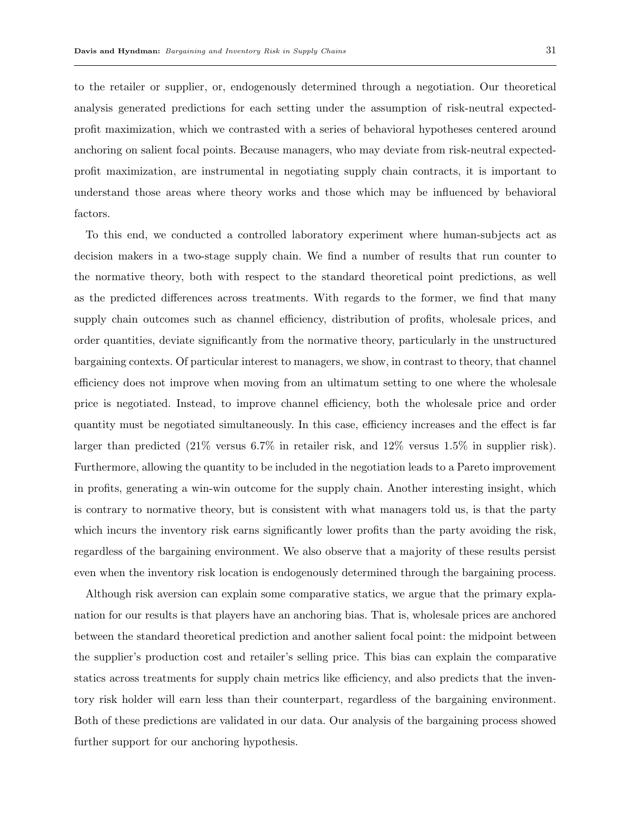to the retailer or supplier, or, endogenously determined through a negotiation. Our theoretical analysis generated predictions for each setting under the assumption of risk-neutral expectedprofit maximization, which we contrasted with a series of behavioral hypotheses centered around anchoring on salient focal points. Because managers, who may deviate from risk-neutral expectedprofit maximization, are instrumental in negotiating supply chain contracts, it is important to understand those areas where theory works and those which may be influenced by behavioral factors.

To this end, we conducted a controlled laboratory experiment where human-subjects act as decision makers in a two-stage supply chain. We find a number of results that run counter to the normative theory, both with respect to the standard theoretical point predictions, as well as the predicted differences across treatments. With regards to the former, we find that many supply chain outcomes such as channel efficiency, distribution of profits, wholesale prices, and order quantities, deviate significantly from the normative theory, particularly in the unstructured bargaining contexts. Of particular interest to managers, we show, in contrast to theory, that channel efficiency does not improve when moving from an ultimatum setting to one where the wholesale price is negotiated. Instead, to improve channel efficiency, both the wholesale price and order quantity must be negotiated simultaneously. In this case, efficiency increases and the effect is far larger than predicted (21% versus 6.7% in retailer risk, and 12% versus 1.5% in supplier risk). Furthermore, allowing the quantity to be included in the negotiation leads to a Pareto improvement in profits, generating a win-win outcome for the supply chain. Another interesting insight, which is contrary to normative theory, but is consistent with what managers told us, is that the party which incurs the inventory risk earns significantly lower profits than the party avoiding the risk, regardless of the bargaining environment. We also observe that a majority of these results persist even when the inventory risk location is endogenously determined through the bargaining process.

Although risk aversion can explain some comparative statics, we argue that the primary explanation for our results is that players have an anchoring bias. That is, wholesale prices are anchored between the standard theoretical prediction and another salient focal point: the midpoint between the supplier's production cost and retailer's selling price. This bias can explain the comparative statics across treatments for supply chain metrics like efficiency, and also predicts that the inventory risk holder will earn less than their counterpart, regardless of the bargaining environment. Both of these predictions are validated in our data. Our analysis of the bargaining process showed further support for our anchoring hypothesis.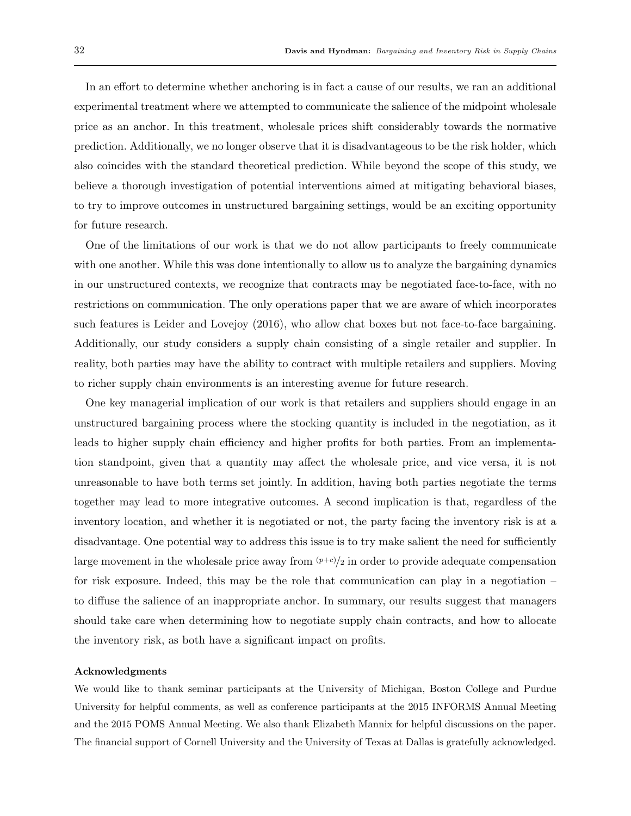In an effort to determine whether anchoring is in fact a cause of our results, we ran an additional experimental treatment where we attempted to communicate the salience of the midpoint wholesale price as an anchor. In this treatment, wholesale prices shift considerably towards the normative prediction. Additionally, we no longer observe that it is disadvantageous to be the risk holder, which also coincides with the standard theoretical prediction. While beyond the scope of this study, we believe a thorough investigation of potential interventions aimed at mitigating behavioral biases, to try to improve outcomes in unstructured bargaining settings, would be an exciting opportunity for future research.

One of the limitations of our work is that we do not allow participants to freely communicate with one another. While this was done intentionally to allow us to analyze the bargaining dynamics in our unstructured contexts, we recognize that contracts may be negotiated face-to-face, with no restrictions on communication. The only operations paper that we are aware of which incorporates such features is Leider and Lovejoy (2016), who allow chat boxes but not face-to-face bargaining. Additionally, our study considers a supply chain consisting of a single retailer and supplier. In reality, both parties may have the ability to contract with multiple retailers and suppliers. Moving to richer supply chain environments is an interesting avenue for future research.

One key managerial implication of our work is that retailers and suppliers should engage in an unstructured bargaining process where the stocking quantity is included in the negotiation, as it leads to higher supply chain efficiency and higher profits for both parties. From an implementation standpoint, given that a quantity may affect the wholesale price, and vice versa, it is not unreasonable to have both terms set jointly. In addition, having both parties negotiate the terms together may lead to more integrative outcomes. A second implication is that, regardless of the inventory location, and whether it is negotiated or not, the party facing the inventory risk is at a disadvantage. One potential way to address this issue is to try make salient the need for sufficiently large movement in the wholesale price away from  $(p+c)/2$  in order to provide adequate compensation for risk exposure. Indeed, this may be the role that communication can play in a negotiation – to diffuse the salience of an inappropriate anchor. In summary, our results suggest that managers should take care when determining how to negotiate supply chain contracts, and how to allocate the inventory risk, as both have a significant impact on profits.

#### Acknowledgments

We would like to thank seminar participants at the University of Michigan, Boston College and Purdue University for helpful comments, as well as conference participants at the 2015 INFORMS Annual Meeting and the 2015 POMS Annual Meeting. We also thank Elizabeth Mannix for helpful discussions on the paper. The financial support of Cornell University and the University of Texas at Dallas is gratefully acknowledged.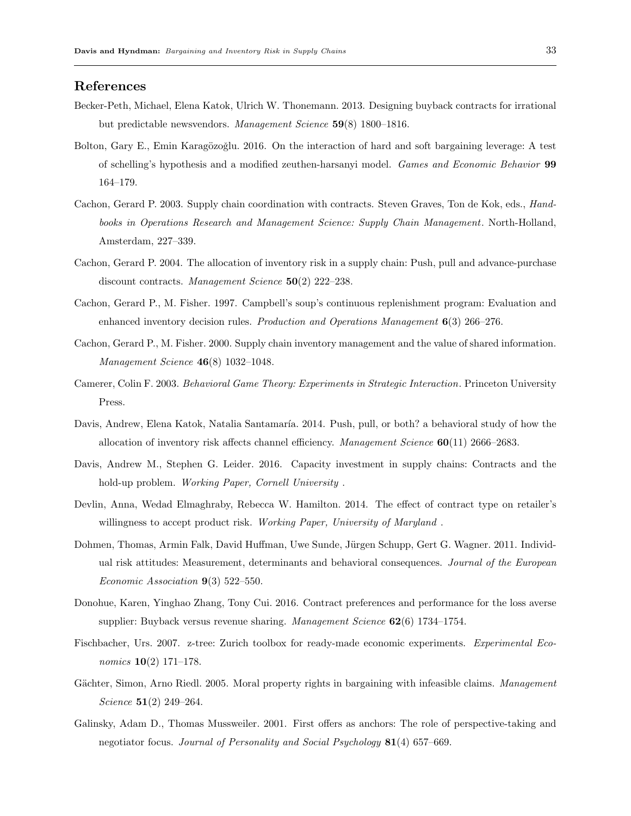# References

- Becker-Peth, Michael, Elena Katok, Ulrich W. Thonemann. 2013. Designing buyback contracts for irrational but predictable newsvendors. Management Science 59(8) 1800–1816.
- Bolton, Gary E., Emin Karagözoğlu. 2016. On the interaction of hard and soft bargaining leverage: A test of schelling's hypothesis and a modified zeuthen-harsanyi model. Games and Economic Behavior 99 164–179.
- Cachon, Gerard P. 2003. Supply chain coordination with contracts. Steven Graves, Ton de Kok, eds., Handbooks in Operations Research and Management Science: Supply Chain Management. North-Holland, Amsterdam, 227–339.
- Cachon, Gerard P. 2004. The allocation of inventory risk in a supply chain: Push, pull and advance-purchase discount contracts. Management Science 50(2) 222-238.
- Cachon, Gerard P., M. Fisher. 1997. Campbell's soup's continuous replenishment program: Evaluation and enhanced inventory decision rules. Production and Operations Management 6(3) 266–276.
- Cachon, Gerard P., M. Fisher. 2000. Supply chain inventory management and the value of shared information. Management Science 46(8) 1032–1048.
- Camerer, Colin F. 2003. Behavioral Game Theory: Experiments in Strategic Interaction. Princeton University Press.
- Davis, Andrew, Elena Katok, Natalia Santamaría. 2014. Push, pull, or both? a behavioral study of how the allocation of inventory risk affects channel efficiency. Management Science  $60(11)$  2666–2683.
- Davis, Andrew M., Stephen G. Leider. 2016. Capacity investment in supply chains: Contracts and the hold-up problem. Working Paper, Cornell University .
- Devlin, Anna, Wedad Elmaghraby, Rebecca W. Hamilton. 2014. The effect of contract type on retailer's willingness to accept product risk. Working Paper, University of Maryland.
- Dohmen, Thomas, Armin Falk, David Huffman, Uwe Sunde, Jürgen Schupp, Gert G. Wagner. 2011. Individual risk attitudes: Measurement, determinants and behavioral consequences. Journal of the European Economic Association 9(3) 522–550.
- Donohue, Karen, Yinghao Zhang, Tony Cui. 2016. Contract preferences and performance for the loss averse supplier: Buyback versus revenue sharing. Management Science  $62(6)$  1734–1754.
- Fischbacher, Urs. 2007. z-tree: Zurich toolbox for ready-made economic experiments. Experimental Economics 10(2) 171–178.
- Gächter, Simon, Arno Riedl. 2005. Moral property rights in bargaining with infeasible claims. Management Science 51(2) 249–264.
- Galinsky, Adam D., Thomas Mussweiler. 2001. First offers as anchors: The role of perspective-taking and negotiator focus. Journal of Personality and Social Psychology 81(4) 657–669.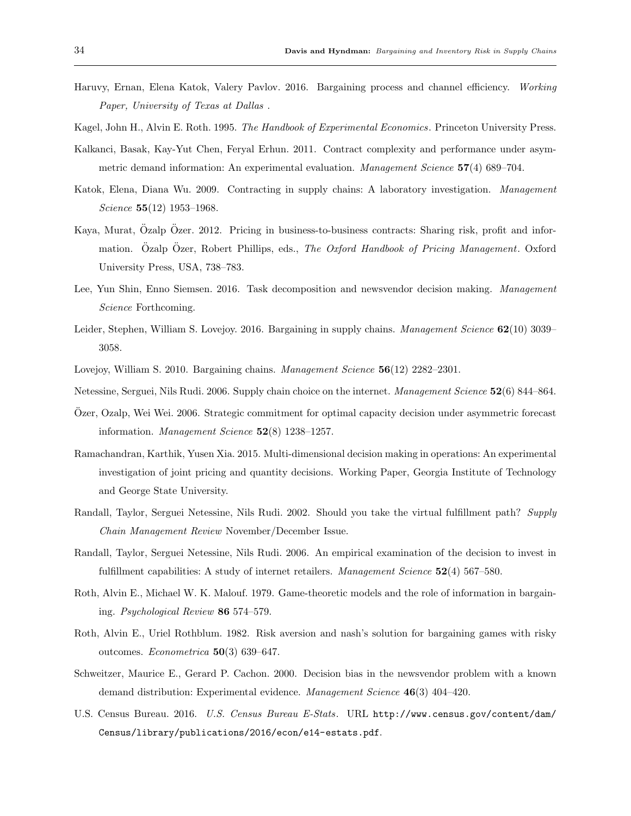- Haruvy, Ernan, Elena Katok, Valery Pavlov. 2016. Bargaining process and channel efficiency. Working Paper, University of Texas at Dallas .
- Kagel, John H., Alvin E. Roth. 1995. The Handbook of Experimental Economics. Princeton University Press.
- Kalkanci, Basak, Kay-Yut Chen, Feryal Erhun. 2011. Contract complexity and performance under asymmetric demand information: An experimental evaluation. Management Science 57(4) 689–704.
- Katok, Elena, Diana Wu. 2009. Contracting in supply chains: A laboratory investigation. Management Science **55**(12) 1953-1968.
- Kaya, Murat, Özalp Özer. 2012. Pricing in business-to-business contracts: Sharing risk, profit and information. Özalp Özer, Robert Phillips, eds., The Oxford Handbook of Pricing Management. Oxford University Press, USA, 738–783.
- Lee, Yun Shin, Enno Siemsen. 2016. Task decomposition and newsvendor decision making. Management Science Forthcoming.
- Leider, Stephen, William S. Lovejoy. 2016. Bargaining in supply chains. Management Science 62(10) 3039– 3058.
- Lovejoy, William S. 2010. Bargaining chains. Management Science 56(12) 2282–2301.
- Netessine, Serguei, Nils Rudi. 2006. Supply chain choice on the internet. Management Science 52(6) 844–864.
- Ozer, Ozalp, Wei Wei. 2006. Strategic commitment for optimal capacity decision under asymmetric forecast ¨ information. *Management Science*  $52(8)$  1238–1257.
- Ramachandran, Karthik, Yusen Xia. 2015. Multi-dimensional decision making in operations: An experimental investigation of joint pricing and quantity decisions. Working Paper, Georgia Institute of Technology and George State University.
- Randall, Taylor, Serguei Netessine, Nils Rudi. 2002. Should you take the virtual fulfillment path? Supply Chain Management Review November/December Issue.
- Randall, Taylor, Serguei Netessine, Nils Rudi. 2006. An empirical examination of the decision to invest in fulfillment capabilities: A study of internet retailers. *Management Science*  $52(4)$  567–580.
- Roth, Alvin E., Michael W. K. Malouf. 1979. Game-theoretic models and the role of information in bargaining. Psychological Review 86 574–579.
- Roth, Alvin E., Uriel Rothblum. 1982. Risk aversion and nash's solution for bargaining games with risky outcomes. Econometrica  $50(3)$  639-647.
- Schweitzer, Maurice E., Gerard P. Cachon. 2000. Decision bias in the newsvendor problem with a known demand distribution: Experimental evidence. Management Science 46(3) 404-420.
- U.S. Census Bureau. 2016. U.S. Census Bureau E-Stats. URL http://www.census.gov/content/dam/ Census/library/publications/2016/econ/e14-estats.pdf.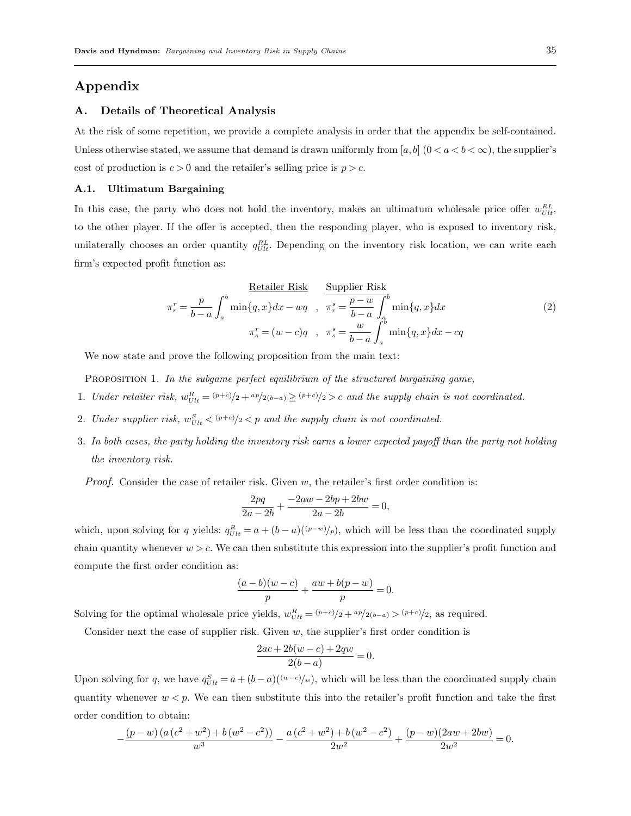# Appendix

## A. Details of Theoretical Analysis

At the risk of some repetition, we provide a complete analysis in order that the appendix be self-contained. Unless otherwise stated, we assume that demand is drawn uniformly from [a, b]  $(0 < a < b < \infty)$ , the supplier's cost of production is  $c > 0$  and the retailer's selling price is  $p > c$ .

#### A.1. Ultimatum Bargaining

In this case, the party who does not hold the inventory, makes an ultimatum wholesale price offer  $w_{Ult}^{RL}$ , to the other player. If the offer is accepted, then the responding player, who is exposed to inventory risk, unilaterally chooses an order quantity  $q_{Ult}^{RL}$ . Depending on the inventory risk location, we can write each firm's expected profit function as:

$$
\pi_r^r = \frac{p}{b-a} \int_a^b \min\{q, x\} dx - wq \quad , \quad \frac{\text{Supplier Risk}}{\pi_r^s} = \frac{p-w}{b-a} \int_a^b \min\{q, x\} dx
$$
\n
$$
\pi_s^r = (w-c)q \quad , \quad \pi_s^s = \frac{w}{b-a} \int_a^b \min\{q, x\} dx - cq \tag{2}
$$

We now state and prove the following proposition from the main text:

PROPOSITION 1. In the subgame perfect equilibrium of the structured bargaining game,

- 1. Under retailer risk,  $w_{Ult}^R = (p+c)/2 + \frac{ap}{2(b-a)} \ge (p+c)/2 > c$  and the supply chain is not coordinated.
- 2. Under supplier risk,  $w_{Ult}^{S} < (p+c)/2 < p$  and the supply chain is not coordinated.
- 3. In both cases, the party holding the inventory risk earns a lower expected payoff than the party not holding the inventory risk.

*Proof.* Consider the case of retailer risk. Given  $w$ , the retailer's first order condition is:

$$
\frac{2pq}{2a-2b} + \frac{-2aw - 2bp + 2bw}{2a-2b} = 0,
$$

which, upon solving for q yields:  $q_{Ult}^R = a + (b - a)(p-w)/p$ , which will be less than the coordinated supply chain quantity whenever  $w > c$ . We can then substitute this expression into the supplier's profit function and compute the first order condition as:

$$
\frac{(a-b)(w-c)}{p} + \frac{aw + b(p-w)}{p} = 0.
$$

Solving for the optimal wholesale price yields,  $w_{Ult}^{R} = (p+c)/2 + \frac{ap}{2(b-a)} > (p+c)/2$ , as required.

Consider next the case of supplier risk. Given  $w$ , the supplier's first order condition is

$$
\frac{2ac + 2b(w - c) + 2qw}{2(b - a)} = 0.
$$

Upon solving for q, we have  $q_{Ult}^S = a + (b - a)((w - c)/w)$ , which will be less than the coordinated supply chain quantity whenever  $w < p$ . We can then substitute this into the retailer's profit function and take the first order condition to obtain:

$$
-\frac{(p-w)\left(a\left(c^2+w^2\right)+b\left(w^2-c^2\right)\right)}{w^3}-\frac{a\left(c^2+w^2\right)+b\left(w^2-c^2\right)}{2w^2}+\frac{(p-w)(2aw+2bw)}{2w^2}=0.
$$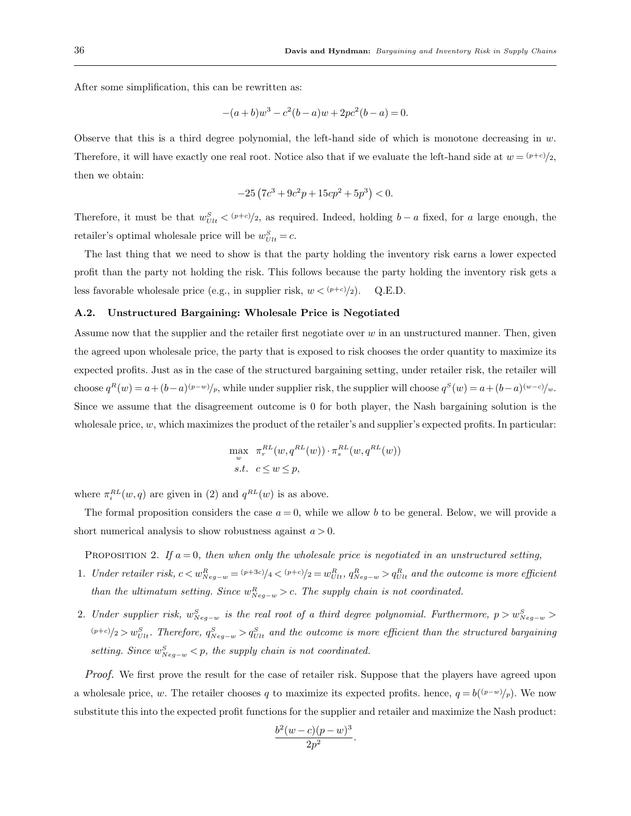After some simplification, this can be rewritten as:

$$
-(a+b)w3 - c2(b-a)w + 2pc2(b-a) = 0.
$$

Observe that this is a third degree polynomial, the left-hand side of which is monotone decreasing in  $w$ . Therefore, it will have exactly one real root. Notice also that if we evaluate the left-hand side at  $w = (p+c)/2$ , then we obtain:

$$
-25\left(7c^3 + 9c^2p + 15cp^2 + 5p^3\right) < 0.
$$

Therefore, it must be that  $w_{Ult}^S < (p+c)/2$ , as required. Indeed, holding  $b-a$  fixed, for a large enough, the retailer's optimal wholesale price will be  $w_{Ult}^{S} = c$ .

The last thing that we need to show is that the party holding the inventory risk earns a lower expected profit than the party not holding the risk. This follows because the party holding the inventory risk gets a less favorable wholesale price (e.g., in supplier risk,  $w < (p+c)/2$ ). Q.E.D.

#### A.2. Unstructured Bargaining: Wholesale Price is Negotiated

Assume now that the supplier and the retailer first negotiate over w in an unstructured manner. Then, given the agreed upon wholesale price, the party that is exposed to risk chooses the order quantity to maximize its expected profits. Just as in the case of the structured bargaining setting, under retailer risk, the retailer will choose  $q^R(w) = a + (b-a)^{(p-w)}/p$ , while under supplier risk, the supplier will choose  $q^S(w) = a + (b-a)^{(w-c)}/w$ . Since we assume that the disagreement outcome is 0 for both player, the Nash bargaining solution is the wholesale price,  $w$ , which maximizes the product of the retailer's and supplier's expected profits. In particular:

$$
\max_{w} \pi_r^{RL}(w, q^{RL}(w)) \cdot \pi_s^{RL}(w, q^{RL}(w))
$$
  
s.t.  $c \le w \le p$ ,

where  $\pi_i^{RL}(w, q)$  are given in (2) and  $q^{RL}(w)$  is as above.

The formal proposition considers the case  $a = 0$ , while we allow b to be general. Below, we will provide a short numerical analysis to show robustness against  $a > 0$ .

PROPOSITION 2. If  $a = 0$ , then when only the wholesale price is negotiated in an unstructured setting,

- 1. Under retailer risk,  $c < w_{Neg-w}^R = {^{(p+3c)}}/4 < {^{(p+c)}}/2 = w_{Ult}^R$ ,  $q_{Neg-w}^R > q_{Ult}^R$  and the outcome is more efficient than the ultimatum setting. Since  $w_{Neg-w}^R > c$ . The supply chain is not coordinated.
- 2. Under supplier risk,  $w_{Neg-w}^S$  is the real root of a third degree polynomial. Furthermore,  $p > w_{Neg-w}^S$  $^{(p+c)}/_2$  >  $w_{Ult}^S$ . Therefore,  $q_{Neg-w}^S > q_{Ult}^S$  and the outcome is more efficient than the structured bargaining setting. Since  $w_{Neg-w}^S < p$ , the supply chain is not coordinated.

Proof. We first prove the result for the case of retailer risk. Suppose that the players have agreed upon a wholesale price, w. The retailer chooses q to maximize its expected profits. hence,  $q = b^{((p-w)/p)}$ . We now substitute this into the expected profit functions for the supplier and retailer and maximize the Nash product:

$$
\frac{b^2(w-c)(p-w)^3}{2p^2}.
$$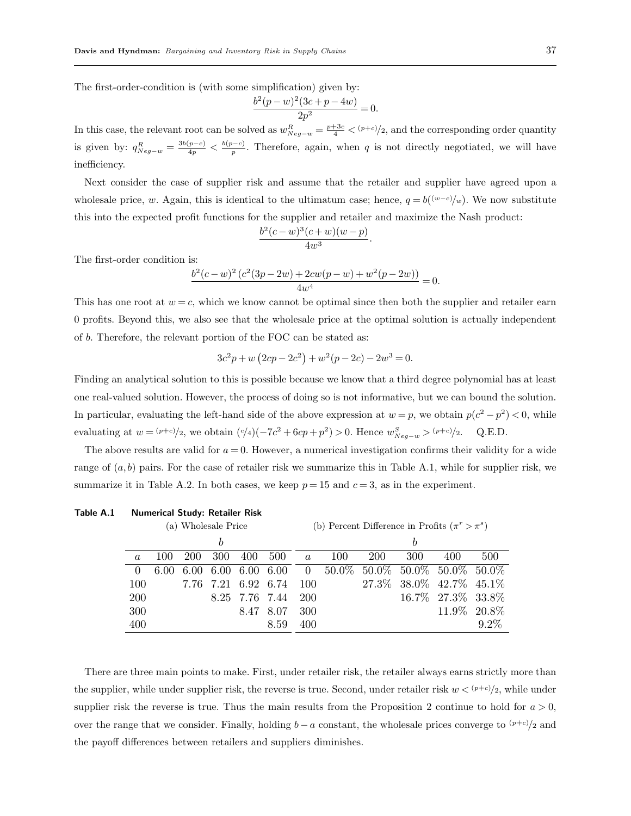The first-order-condition is (with some simplification) given by:

$$
\frac{b^2(p-w)^2(3c+p-4w)}{2p^2} = 0.
$$

In this case, the relevant root can be solved as  $w_{Neg-w}^R = \frac{p+3c}{4} < (p+c)/2$ , and the corresponding order quantity is given by:  $q_{Neg-w}^R = \frac{3b(p-c)}{4p} < \frac{b(p-c)}{p}$  $\frac{p-c}{p}$ . Therefore, again, when q is not directly negotiated, we will have inefficiency.

Next consider the case of supplier risk and assume that the retailer and supplier have agreed upon a wholesale price, w. Again, this is identical to the ultimatum case; hence,  $q = b((w-c)/w)$ . We now substitute this into the expected profit functions for the supplier and retailer and maximize the Nash product:

$$
\frac{b^2(c-w)^3(c+w)(w-p)}{4w^3}.
$$

The first-order condition is:

$$
\frac{b^2(c-w)^2(c^2(3p-2w) + 2cw(p-w) + w^2(p-2w))}{4w^4} = 0.
$$

This has one root at  $w = c$ , which we know cannot be optimal since then both the supplier and retailer earn 0 profits. Beyond this, we also see that the wholesale price at the optimal solution is actually independent of b. Therefore, the relevant portion of the FOC can be stated as:

$$
3c^2p + w(2cp - 2c^2) + w^2(p - 2c) - 2w^3 = 0.
$$

Finding an analytical solution to this is possible because we know that a third degree polynomial has at least one real-valued solution. However, the process of doing so is not informative, but we can bound the solution. In particular, evaluating the left-hand side of the above expression at  $w = p$ , we obtain  $p(c^2 - p^2) < 0$ , while evaluating at  $w = \frac{(p+c)}{2}$ , we obtain  $\frac{c}{4}(-7c^2 + 6cp + p^2) > 0$ . Hence  $w_{Neg-w}^S > \frac{(p+c)}{2}$ . Q.E.D.

The above results are valid for  $a = 0$ . However, a numerical investigation confirms their validity for a wide range of  $(a, b)$  pairs. For the case of retailer risk we summarize this in Table A.1, while for supplier risk, we summarize it in Table A.2. In both cases, we keep  $p = 15$  and  $c = 3$ , as in the experiment.

| Table A.1<br><b>Numerical Study: Retailer Risk</b> |  |  |  |  |
|----------------------------------------------------|--|--|--|--|
|----------------------------------------------------|--|--|--|--|

|            | (a) Wholesale Price |            |     |      |                     |          | (b) Percent Difference in Profits ( $\pi^r > \pi^s$ ) |                                                     |                             |                      |               |  |  |
|------------|---------------------|------------|-----|------|---------------------|----------|-------------------------------------------------------|-----------------------------------------------------|-----------------------------|----------------------|---------------|--|--|
| h          |                     |            |     |      |                     |          |                                                       |                                                     |                             |                      |               |  |  |
| $\alpha$   | 100                 | <b>200</b> | 300 | 400  | 500                 | $\alpha$ | 100                                                   | 200                                                 | 300                         | 400                  | 500           |  |  |
| $\Omega$   | 6.00                | 6.00       |     |      |                     |          |                                                       | 6.00 6.00 6.00 0 50.0\% 50.0\% 50.0\% 50.0\% 50.0\% |                             |                      |               |  |  |
| 100        |                     |            |     |      | 7.76 7.21 6.92 6.74 | -100     |                                                       |                                                     | 27.3\% 38.0\% 42.7\% 45.1\% |                      |               |  |  |
| <b>200</b> |                     |            |     |      | 8.25 7.76 7.44      | 200      |                                                       |                                                     |                             | 16.7\% 27.3\% 33.8\% |               |  |  |
| 300        |                     |            |     | 8.47 | 8.07                | 300      |                                                       |                                                     |                             |                      | 11.9\% 20.8\% |  |  |
| 400        |                     |            |     |      | 8.59                | 400      |                                                       |                                                     |                             |                      | $9.2\%$       |  |  |

There are three main points to make. First, under retailer risk, the retailer always earns strictly more than the supplier, while under supplier risk, the reverse is true. Second, under retailer risk  $w < (p+c)/2$ , while under supplier risk the reverse is true. Thus the main results from the Proposition 2 continue to hold for  $a > 0$ , over the range that we consider. Finally, holding  $b - a$  constant, the wholesale prices converge to  $(p+c)/2$  and the payoff differences between retailers and suppliers diminishes.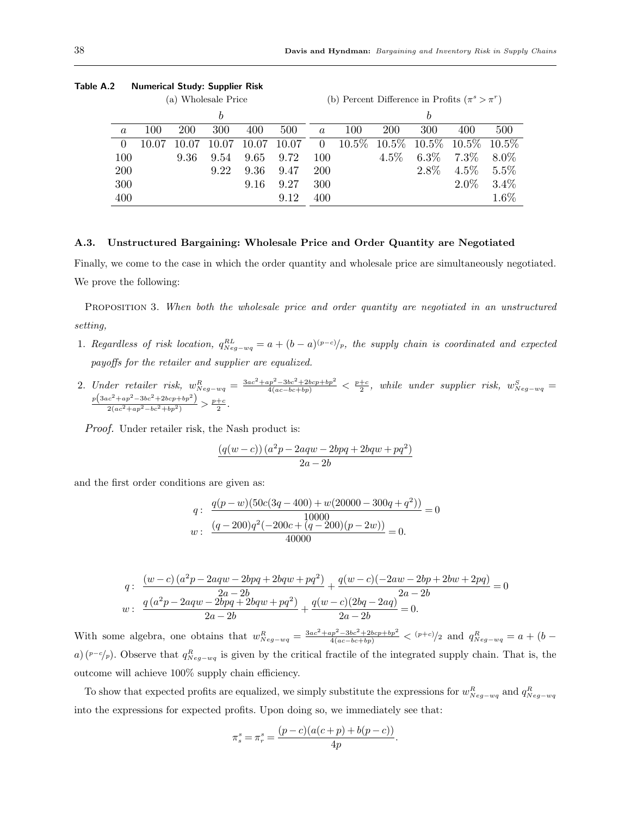|               |     | (a) Wholesale Price |       |       |       | (b) Percent Difference in Profits $(\pi^s > \pi^r)$ |     |               |          |                              |         |  |
|---------------|-----|---------------------|-------|-------|-------|-----------------------------------------------------|-----|---------------|----------|------------------------------|---------|--|
|               |     |                     | b     |       |       |                                                     |     |               | h        |                              |         |  |
| $\mathfrak a$ | 100 | <b>200</b>          | 300   | 400   | 500   | $\alpha$                                            | 100 | 200           | 300      | 400                          | 500     |  |
|               |     |                     | 10.07 | 10.07 | 10.07 | $\Omega$                                            |     | 10.5\% 10.5\% | $10.5\%$ | $10.5\%$ $10.\overline{5\%}$ |         |  |
| 100           |     | 9.36                | 9.54  | 9.65  | 9.72  | 100                                                 |     | $4.5\%$       | $6.3\%$  | $7.3\%$                      | $8.0\%$ |  |
| 200           |     |                     | 9.22  | 9.36  | 9.47  | <b>200</b>                                          |     |               | 2.8%     | $4.5\%$                      | $5.5\%$ |  |
| 300           |     |                     |       | 9.16  | 9.27  | 300                                                 |     |               |          | $2.0\%$                      | $3.4\%$ |  |
| 400           |     |                     |       |       | 9.12  | 400                                                 |     |               |          |                              | $1.6\%$ |  |

Table A.2 Numerical Study: Supplier Risk

#### A.3. Unstructured Bargaining: Wholesale Price and Order Quantity are Negotiated

Finally, we come to the case in which the order quantity and wholesale price are simultaneously negotiated. We prove the following:

PROPOSITION 3. When both the wholesale price and order quantity are negotiated in an unstructured setting,

- 1. Regardless of risk location,  $q_{Neg-wq}^{RL} = a + (b-a)^{(p-c)}/p$ , the supply chain is coordinated and expected payoffs for the retailer and supplier are equalized.
- 2. Under retailer risk,  $w_{Neg-wq}^R = \frac{3ac^2+ap^2-3bc^2+2bcp+bp^2}{4(ac-bc+bp)} < \frac{p+c}{2}$ , while under supplier risk,  $w_{Neg-wq}^S =$  $\frac{p(3ac^2+ap^2-3bc^2+2bcp+bp^2)}{2(ac^2+ap^2-bc^2+bp^2)} > \frac{p+c}{2}.$

Proof. Under retailer risk, the Nash product is:

$$
\frac{\left(q(w-c)\right)(a^2p-2aqw-2bpq+2bqw+pq^2)}{2a-2b}
$$

and the first order conditions are given as:

$$
q: \frac{q(p-w)(50c(3q-400) + w(20000 - 300q + q^2))}{(q-200)q^2(-200c + (q-200)(p-2w))} = 0
$$
  

$$
w: \frac{(q-200)q^2(-200c + (q-200)(p-2w))}{40000} = 0.
$$

$$
q: \frac{(w-c) (a^2p-2aqw-2bpq+2bqw+pq^2)}{2a-2b} + \frac{q(w-c)(-2aw-2bp+2bw+2pq)}{2a-2b} = 0
$$
  

$$
w: \frac{q (a^2p-2aqw-2bpq+2bqw+pq^2)}{2a-2b} + \frac{q(w-c)(2bq-2aq)}{2a-2b} = 0.
$$

With some algebra, one obtains that  $w_{Neg-wq}^R = \frac{3ac^2+ap^2-3bc^2+2bcp+bp^2}{4(ac-bc+bp)} \lt (p+c)/2$  and  $q_{Neg-wq}^R = a + (b - b)/2$ a)  $(p-c/p)$ . Observe that  $q_{Neg-wq}^R$  is given by the critical fractile of the integrated supply chain. That is, the outcome will achieve 100% supply chain efficiency.

To show that expected profits are equalized, we simply substitute the expressions for  $w_{Neg-wq}^R$  and  $q_{Neg-wq}^R$ into the expressions for expected profits. Upon doing so, we immediately see that:

$$
\pi_s^s = \pi_r^s = \frac{(p-c)(a(c+p) + b(p-c))}{4p}.
$$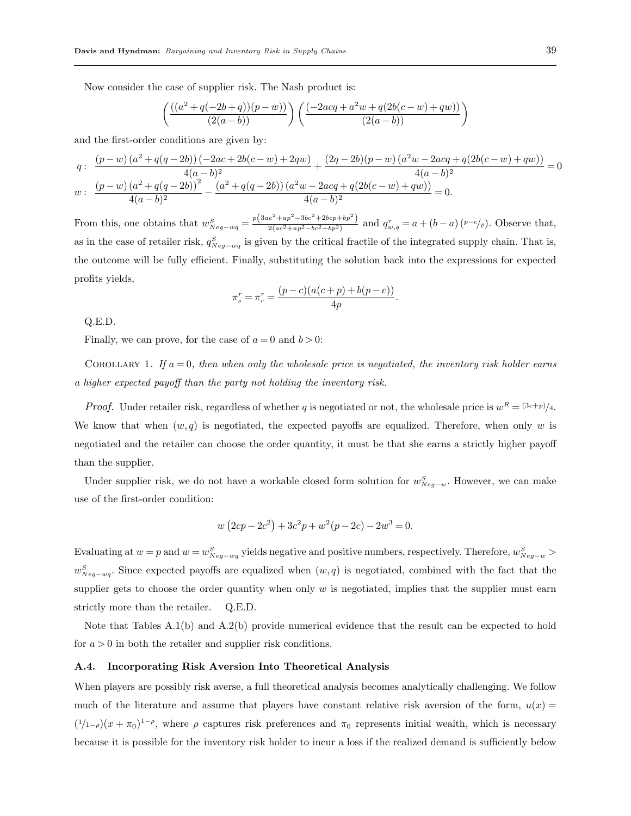Now consider the case of supplier risk. The Nash product is:

$$
\left(\frac{((a^2+q(-2b+q))(p-w))}{(2(a-b))}\right)\left(\frac{(-2acq+a^2w+q(2b(c-w)+qw))}{(2(a-b))}\right)
$$

and the first-order conditions are given by:

$$
\begin{array}{ll} q:& \displaystyle \frac{(p-w)\left(a^2+q(q-2b)\right) (-2ac+2b(c-w)+2qw)}{4(a-b)^2} + \frac{(2q-2b)(p-w)\left(a^2w-2acq+q(2b(c-w)+qw)\right)}{4(a-b)^2} = 0 \\ w:& \displaystyle \frac{(p-w)\left(a^2+q(q-2b)\right)^2}{4(a-b)^2} - \frac{(a^2+q(q-2b))\left(a^2w-2acq+q(2b(c-w)+qw)\right)}{4(a-b)^2} = 0. \end{array}
$$

From this, one obtains that  $w_{Neg-wq}^S = \frac{p(3ac^2 + ap^2 - 3bc^2 + 2bcp + bp^2)}{2(ac^2 + ap^2 - bc^2 + bp^2)}$  $\frac{c^2+ap^2-3oc+2ocp+op}{2(ac^2+ap^2-bc^2+bp^2)}$  and  $q_{w,q}^r = a + (b-a)(p-c/p)$ . Observe that, as in the case of retailer risk,  $q_{Neg-wq}^S$  is given by the critical fractile of the integrated supply chain. That is, the outcome will be fully efficient. Finally, substituting the solution back into the expressions for expected profits yields,

$$
\pi_s^r = \pi_r^r = \frac{(p-c)(a(c+p) + b(p-c))}{4p}.
$$

Q.E.D.

Finally, we can prove, for the case of  $a = 0$  and  $b > 0$ :

COROLLARY 1. If  $a = 0$ , then when only the wholesale price is negotiated, the inventory risk holder earns a higher expected payoff than the party not holding the inventory risk.

*Proof.* Under retailer risk, regardless of whether q is negotiated or not, the wholesale price is  $w^R = \frac{(3c+p)}{4}$ . We know that when  $(w, q)$  is negotiated, the expected payoffs are equalized. Therefore, when only w is negotiated and the retailer can choose the order quantity, it must be that she earns a strictly higher payoff than the supplier.

Under supplier risk, we do not have a workable closed form solution for  $w_{Neg-w}^S$ . However, we can make use of the first-order condition:

$$
w(2cp - 2c2) + 3c2p + w2(p - 2c) - 2w3 = 0.
$$

Evaluating at  $w = p$  and  $w = w_{Neg-wq}^S$  yields negative and positive numbers, respectively. Therefore,  $w_{Neg-w}^S$  $w_{Neg-wq}^S$ . Since expected payoffs are equalized when  $(w, q)$  is negotiated, combined with the fact that the supplier gets to choose the order quantity when only  $w$  is negotiated, implies that the supplier must earn strictly more than the retailer. Q.E.D.

Note that Tables A.1(b) and A.2(b) provide numerical evidence that the result can be expected to hold for  $a > 0$  in both the retailer and supplier risk conditions.

#### A.4. Incorporating Risk Aversion Into Theoretical Analysis

When players are possibly risk averse, a full theoretical analysis becomes analytically challenging. We follow much of the literature and assume that players have constant relative risk aversion of the form,  $u(x)$  $(1/1-\rho)(x+\pi_0)^{1-\rho}$ , where  $\rho$  captures risk preferences and  $\pi_0$  represents initial wealth, which is necessary because it is possible for the inventory risk holder to incur a loss if the realized demand is sufficiently below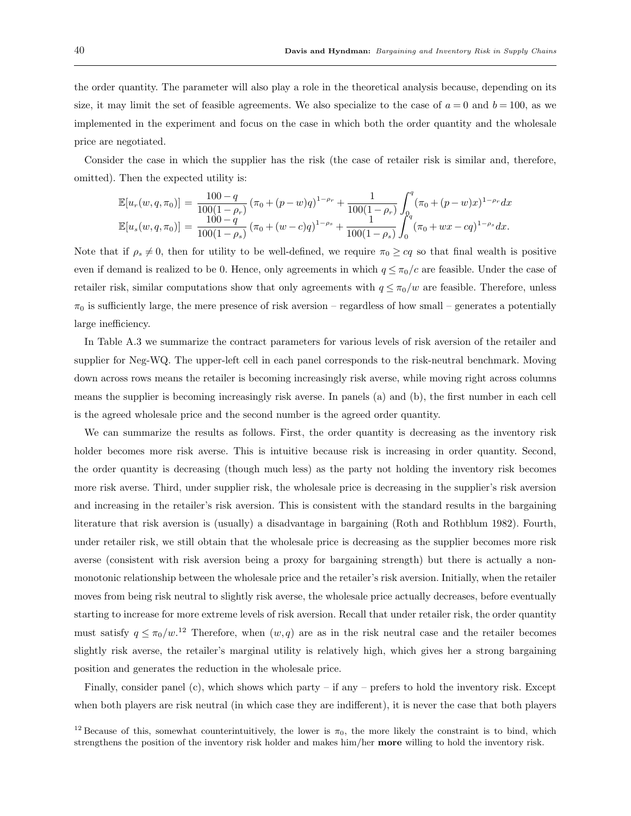the order quantity. The parameter will also play a role in the theoretical analysis because, depending on its size, it may limit the set of feasible agreements. We also specialize to the case of  $a = 0$  and  $b = 100$ , as we implemented in the experiment and focus on the case in which both the order quantity and the wholesale price are negotiated.

Consider the case in which the supplier has the risk (the case of retailer risk is similar and, therefore, omitted). Then the expected utility is:

$$
\mathbb{E}[u_r(w, q, \pi_0)] = \frac{100 - q}{100(1 - \rho_r)} (\pi_0 + (p - w)q)^{1 - \rho_r} + \frac{1}{100(1 - \rho_r)} \int_{0}^{q} (\pi_0 + (p - w)x)^{1 - \rho_r} dx
$$
  

$$
\mathbb{E}[u_s(w, q, \pi_0)] = \frac{100 - q}{100(1 - \rho_s)} (\pi_0 + (w - c)q)^{1 - \rho_s} + \frac{1}{100(1 - \rho_s)} \int_{0}^{q} (\pi_0 + wx - cq)^{1 - \rho_s} dx.
$$

Note that if  $\rho_s \neq 0$ , then for utility to be well-defined, we require  $\pi_0 \geq cq$  so that final wealth is positive even if demand is realized to be 0. Hence, only agreements in which  $q \leq \pi_0/c$  are feasible. Under the case of retailer risk, similar computations show that only agreements with  $q \leq \pi_0/w$  are feasible. Therefore, unless  $\pi_0$  is sufficiently large, the mere presence of risk aversion – regardless of how small – generates a potentially large inefficiency.

In Table A.3 we summarize the contract parameters for various levels of risk aversion of the retailer and supplier for Neg-WQ. The upper-left cell in each panel corresponds to the risk-neutral benchmark. Moving down across rows means the retailer is becoming increasingly risk averse, while moving right across columns means the supplier is becoming increasingly risk averse. In panels (a) and (b), the first number in each cell is the agreed wholesale price and the second number is the agreed order quantity.

We can summarize the results as follows. First, the order quantity is decreasing as the inventory risk holder becomes more risk averse. This is intuitive because risk is increasing in order quantity. Second, the order quantity is decreasing (though much less) as the party not holding the inventory risk becomes more risk averse. Third, under supplier risk, the wholesale price is decreasing in the supplier's risk aversion and increasing in the retailer's risk aversion. This is consistent with the standard results in the bargaining literature that risk aversion is (usually) a disadvantage in bargaining (Roth and Rothblum 1982). Fourth, under retailer risk, we still obtain that the wholesale price is decreasing as the supplier becomes more risk averse (consistent with risk aversion being a proxy for bargaining strength) but there is actually a nonmonotonic relationship between the wholesale price and the retailer's risk aversion. Initially, when the retailer moves from being risk neutral to slightly risk averse, the wholesale price actually decreases, before eventually starting to increase for more extreme levels of risk aversion. Recall that under retailer risk, the order quantity must satisfy  $q \leq \pi_0/w$ <sup>12</sup> Therefore, when  $(w, q)$  are as in the risk neutral case and the retailer becomes slightly risk averse, the retailer's marginal utility is relatively high, which gives her a strong bargaining position and generates the reduction in the wholesale price.

Finally, consider panel (c), which shows which party – if any – prefers to hold the inventory risk. Except when both players are risk neutral (in which case they are indifferent), it is never the case that both players

<sup>&</sup>lt;sup>12</sup> Because of this, somewhat counterintuitively, the lower is  $\pi_0$ , the more likely the constraint is to bind, which strengthens the position of the inventory risk holder and makes him/her more willing to hold the inventory risk.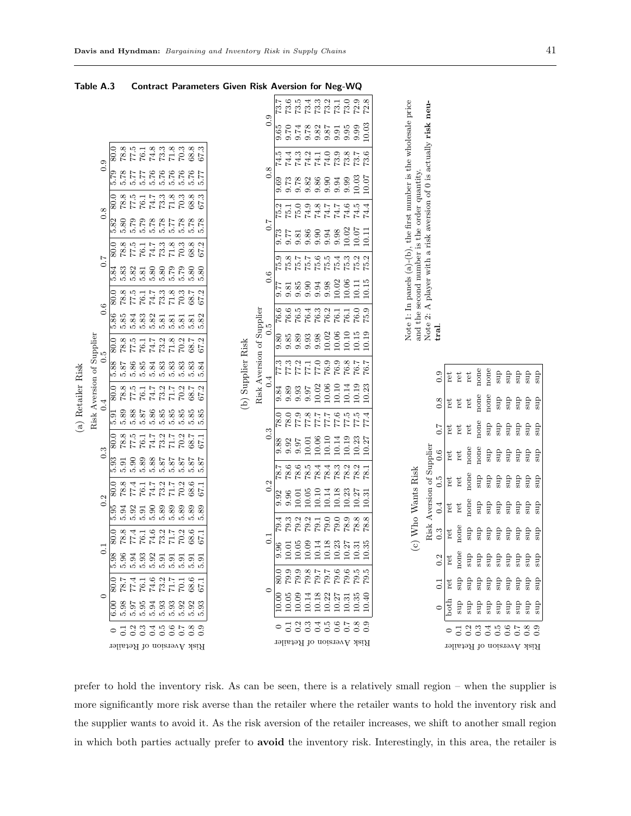|                   |                                            |                      |                               |                |          |                                      |                |                     |                |                 |            |  |                   |                           |                  | 73.7          | 73.6                                                                     | 73.5     | 73.4     | 73.2   |           | 73.1     | 73.0                                                   | 72.9        | 72.8     |                                                                    |                                                                  |                           |                  |              |              |        |         |               |                   |                           |          |                     |               |
|-------------------|--------------------------------------------|----------------------|-------------------------------|----------------|----------|--------------------------------------|----------------|---------------------|----------------|-----------------|------------|--|-------------------|---------------------------|------------------|---------------|--------------------------------------------------------------------------|----------|----------|--------|-----------|----------|--------------------------------------------------------|-------------|----------|--------------------------------------------------------------------|------------------------------------------------------------------|---------------------------|------------------|--------------|--------------|--------|---------|---------------|-------------------|---------------------------|----------|---------------------|---------------|
|                   |                                            |                      |                               |                |          |                                      |                |                     |                |                 |            |  |                   |                           | 0.9              | 9.65          | 0.70                                                                     | 9.74     | 9.78     | 9.82   | 9.87      | 9.91     | 9.95                                                   | 9.99        | 10.03    | Note 1: In panels (a)-(b), the first number is the wholesale price | Note 2: A player with a risk aversion of 0 is actually risk neu- |                           |                  |              |              |        |         |               |                   |                           |          |                     |               |
|                   | 0.9                                        | 80.0                 |                               | $78.8$<br>77.5 | 76.1     | 74.8                                 | 73.3           | 71.8                | 70.3           | 68.8            | 67.3       |  |                   |                           |                  | 74.5          | 74.4                                                                     | 74.3     | 74.2     | 74.1   | 74.0      | 73.9     | 73.8                                                   | 73.7        | 73.6     |                                                                    |                                                                  |                           |                  |              |              |        |         |               |                   |                           |          |                     |               |
|                   |                                            | $\frac{62.6}{2}$     | 5.78                          | 5.77           | 5.77     | 5.76                                 | 5.76           | $\frac{5.76}{5.76}$ |                | 5.76            | 5.77       |  |                   |                           | 0.8              | 9.69          | 9.73                                                                     | 9.78     | 9.82     | 9.86   | 0.90      | 9.94     | 9.99                                                   | 10.03       | 10.07    |                                                                    |                                                                  |                           |                  |              |              |        |         |               |                   |                           |          |                     |               |
|                   | $0.\overline{8}$                           | 80.0                 | 78.8                          | 77.5           | $76.1\,$ | 74.7                                 | 73.3           | 71.8                | 70.3           | 68.8            | 67.3       |  |                   |                           |                  | 75.2          | 75.1                                                                     | 75.0     | 74.9     | 74.8   | 74.7      | $74.7\,$ | $74.6$                                                 | 74.5        | $74.4\,$ | and the second number is the order quantity.                       |                                                                  |                           |                  |              |              |        |         |               |                   |                           |          |                     |               |
|                   |                                            | 5.82                 | $5.80\,$                      | 5.79           | 5.79     | $5.78$                               | 5.78           | 5.77                | 5.78           | 5.78            | 5.78       |  |                   |                           | 0.7              | 0.73          | 9.77                                                                     | 9.81     | 9.86     | 0.90   | 9.94      | 9.98     | 10.02                                                  | 10.07       | 10.11    |                                                                    |                                                                  |                           |                  |              |              |        |         |               |                   |                           |          |                     |               |
|                   |                                            | 80.0                 | 78.8                          | 77.5           | 76.1     | 74.7                                 | 73.3           | 71.8                | 70.3           | 68.8            | 67.2       |  |                   |                           |                  |               |                                                                          |          |          |        |           |          |                                                        |             |          |                                                                    |                                                                  |                           |                  |              |              |        |         |               |                   |                           |          |                     |               |
|                   | 0.7                                        | 5.84                 | 5.83                          | 5.82           | 5.81     | 5.80                                 | 5.80           | 5.79                | 5.79           | 5.80            | 5.80       |  |                   |                           | 0.6              | 75.9          | 75.8                                                                     | $75.7\,$ | $75.7$   | 75.6   | 75.5      | 75.4     | 75.3                                                   | 75.2        | 75.2     |                                                                    |                                                                  |                           |                  |              |              |        |         |               |                   |                           |          |                     |               |
|                   |                                            | 80.0                 | 78.8                          | 77.5           | $76.1\,$ | $74.7$                               | 73.3           | 71.8                | 70.3           | $68.7\,$        | 67.2       |  |                   | Risk Aversion of Supplier |                  | 777           | 9.81                                                                     | 9.85     | 0.90     | 9.94   | 9.98      | 10.02    | $10.06\,$                                              | 10.11       | 10.15    |                                                                    |                                                                  |                           |                  |              |              |        |         |               |                   |                           |          |                     |               |
| (a) Retailer Risk | $\frac{6}{1}$                              | 5.86                 | 5.85                          | 5.84           | 5.83     | 5.82                                 | 5.81           | 5.81                | 5.81           | 5.81            | 5.82       |  |                   |                           |                  | $\frac{5}{0}$ | $\frac{76.6}{ }$                                                         | $76.6\,$ | 76.5     | 76.4   | 76.3      | 76.2     | 76.1                                                   | <b>76.1</b> | 76.0     | 75.9                                                               |                                                                  |                           |                  |              |              |        |         |               |                   |                           |          |                     |               |
|                   |                                            | 80.0                 | 78.8                          | 77.5           | 76.1     | 74.7                                 | 73.2           | 71.8                | 70.2           | 68.7            | 67.2       |  |                   |                           |                  | 0.80          | 9.85                                                                     | 9.89     | 9.93     | 9.98   | 10.02     | 10.06    | 10.10                                                  | 10.15       | 10.19    |                                                                    |                                                                  | $_{\rm tral}$             |                  |              |              |        |         |               |                   |                           |          |                     |               |
|                   | Risk Aversion of Supplier<br>$\frac{5}{0}$ | 5.88                 | 5.87                          | 5.86           | $5.85$   | 5.84                                 | 5.83           | 5.83                | 5.83           | 5.83            | 5.84       |  | (b) Supplier Risk |                           |                  | 77.3          | 77.3                                                                     | 77.2     | 77.1     | 77.0   | 76.9      | 76.9     | 76.8                                                   | 76.7        | 76.7     |                                                                    |                                                                  |                           | $\frac{6}{10}$   | ret          | ret          | ret    | none    | none          | sup               | $\sin p$                  | $\sin$   | $\sup$              | $\frac{1}{2}$ |
|                   |                                            | 80.0                 | 78.8                          | 77.5           | 76.1     | 74.7                                 | 73.2           | 71.7                | 70.2           | 68.7            | 67.2       |  |                   |                           | 0.4              | 9.84          | 9.89                                                                     | 9.93     | $\!9.97$ | 10.02  | 10.06     | 10.10    | 10.14                                                  | 10.19       | 10.23    |                                                                    |                                                                  |                           | 0.8              | ret          | $_{\rm ret}$ | ret    | none    | none          | $\sin$            | $\sin$                    | $\sin$   | $\sin$              | sup           |
|                   | 0.4                                        | $\frac{16.5}{\cdot}$ | 5.89                          | 5.88           | 5.87     | 5.86                                 | 5.85           | 5.85                | 5.85           | 5.85            | 5.85       |  |                   |                           |                  | 78.0          | $78.0$                                                                   | 77.9     | 77.8     | $7.77$ | 7.77      | 77.6     | 77.5                                                   | 77.5        | 77.4     |                                                                    |                                                                  |                           |                  |              |              |        |         |               |                   |                           |          |                     |               |
|                   |                                            | 80.0                 |                               | $78.8$<br>77.5 | 76.1     | 74.7                                 | 73.2           | 71.7                | 70.2           | 68.7            | 67.1       |  |                   |                           | 0.3              | 9.88          | 9.92                                                                     | 9.97     | 10.01    | 10.06  | 10.10     | 10.14    | 10.19                                                  | 10.23       | 10.27    |                                                                    |                                                                  |                           | $\sim 0$         | ret          | ret          | ret    | none    | $\frac{1}{2}$ | sup               | $\sin$                    | $\sin$   | $\sin$              | sup           |
|                   | $0.\overline{3}$                           | 5.93                 | 5.91                          | 6.50           | 5.89     | 5.88                                 | 5.87           | 5.87                | 5.87           | 5.87            | 5.87       |  |                   |                           | 0.2              | 7.87          | 78.6                                                                     | 78.6     | 78.5     | 78.4   | 78.4      | 78.3     | 78.2                                                   | 78.2        | 78.1     |                                                                    |                                                                  |                           | 0.6              | ret          | ret          | none   | none    | sup           | sup               | sup                       | sup      | $\sin$              | qus           |
|                   |                                            | 80.0                 | 78.8                          | 77.4           | 76.1     | 74.7                                 | 73.2           | 71.7                | 70.2           | 68.6            | 67.1       |  |                   |                           |                  |               | 9.92                                                                     | 9.96     | 10.01    | 10.05  | 10.10     | 10.14    | 10.18                                                  | 10.23       | 10.27    |                                                                    |                                                                  |                           |                  | $\ddot{0}$ . | ret          | ret    | none    | sup           | sup               | sup                       | $\sin$   | gus                 | $\sin$        |
|                   | 0.2                                        | $\frac{5.95}{5}$     | 5.94                          | 5.92           | 5.91     | 5.90                                 | 5.89           | 5.89                | 5.89           | 5.89            | 5.89       |  |                   |                           |                  |               |                                                                          |          |          |        |           |          |                                                        |             | 10.31    |                                                                    |                                                                  | Risk Aversion of Supplier | 0.4              | ret          | ret          | none   | qus     | sup           | $\sin p$          | $\sin p$                  | qus      | sup                 | qus           |
|                   |                                            | 80.0                 | $78.8\,$                      | 77.4           | 76.1     | 74.6                                 | 73.2           | 71.7                | 70.2           | 68.6            | 67.1       |  |                   |                           | $\overline{0.1}$ | 79.4          | 79.3                                                                     | 79.2     | 79.2     | 79.1   | 79.0      | 79.0     | 78.9                                                   | $78.8$      | 78.8     | (c) Who Wants Risk                                                 |                                                                  |                           | $0.\overline{3}$ | ret          | none         | sup    | $\sin$  | $\sin$        | $\sin p$          | $\sin$                    | $\sin p$ | $\sin$              | $\sin$        |
|                   | $\overline{0}$                             | န္တြ                 | 96<br>ro ro ro ro ro ro ro ro | 94             | 93       | 92                                   | $\overline{.}$ | $\ddot{9}$          | $\overline{5}$ | $\overline{.}6$ | $\ddot{9}$ |  |                   |                           |                  |               | 9.96                                                                     | 10.01    | 10.05    | 10.09  | $10.14\,$ | 10.18    | 10.23                                                  | 10.27       | 10.31    | 10.35                                                              |                                                                  |                           |                  | Ċ,           | ret          | none   | £<br>Ω, | Ĥ<br>w        | $\mathbf{H}$<br>w | $\mathbf{p}$<br>w         | ę<br>w   | $\overline{p}$<br>S | Ą<br>ທ ທ      |
|                   |                                            | 80.                  | ρŚ.                           |                |          | $77.1$<br>$74.3$<br>$74.7$<br>$74.2$ |                | 7.17                | 70.1           | 68.6            |            |  |                   |                           | $\circ$          |               |                                                                          |          |          |        |           |          |                                                        |             |          |                                                                    |                                                                  |                           | $\overline{C}$   | ret          | qus          | qus    | $\sin$  | sup           | sup               | $\sin$                    | gus      | dns<br>dns          |               |
|                   | $\circ$                                    | 6.00                 |                               |                |          |                                      |                |                     |                |                 |            |  |                   |                           |                  | 10.00         | $\begin{array}{c} 10.05 \\ 10.09 \\ 10.14 \\ 10.32 \\ 10.22 \end{array}$ |          |          |        |           |          | $\begin{array}{c} 10.27 \\ 10.31 \\ 10.35 \end{array}$ |             | 10.40    |                                                                    |                                                                  |                           | $\circ$          | botl         | $\sin p$     | $\sup$ | $\sup$  | $\sup$        | $\sin p$          | $\sin$                    | $\sin p$ | $\sin$              | sup           |
|                   |                                            | $\circ$              |                               |                |          |                                      |                |                     |                |                 |            |  |                   |                           |                  |               |                                                                          |          |          |        |           |          |                                                        |             |          |                                                                    |                                                                  |                           |                  | $\circ$      |              |        |         |               |                   |                           |          |                     |               |
|                   |                                            |                      | Risk Aversion of Retailer     |                |          |                                      |                |                     |                |                 |            |  |                   |                           |                  |               | Risk Aversion of Retailer                                                |          |          |        |           |          |                                                        |             |          |                                                                    |                                                                  |                           |                  |              |              |        |         |               |                   | Risk Aversion of Retailer |          |                     |               |

prefer to hold the inventory risk. As can be seen, there is a relatively small region – when the supplier is more significantly more risk averse than the retailer where the retailer wants to hold the inventory risk and the supplier wants to avoid it. As the risk aversion of the retailer increases, we shift to another small region in which both parties actually prefer to avoid the inventory risk. Interestingly, in this area, the retailer is

Table A.3 Contract Parameters Given Risk Aversion for Neg-WQ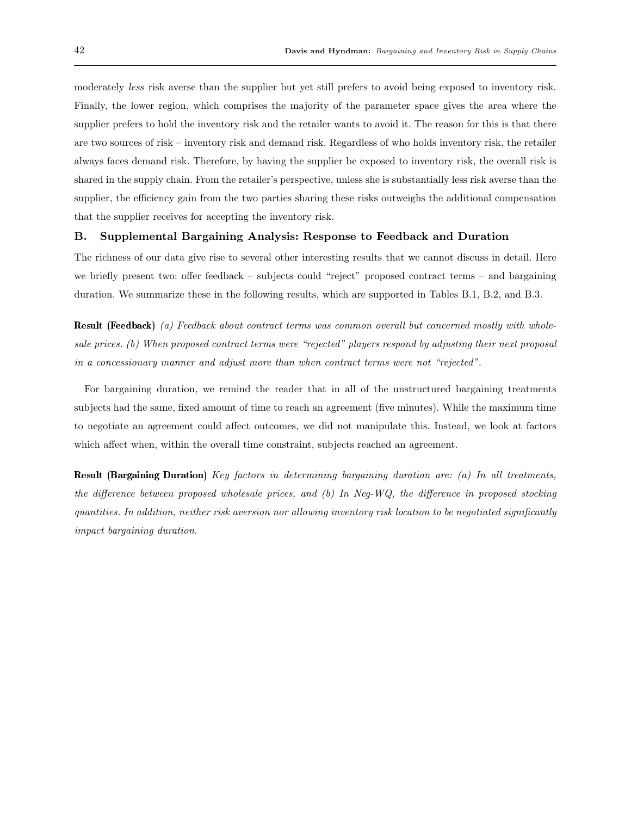moderately less risk averse than the supplier but yet still prefers to avoid being exposed to inventory risk. Finally, the lower region, which comprises the majority of the parameter space gives the area where the supplier prefers to hold the inventory risk and the retailer wants to avoid it. The reason for this is that there are two sources of risk – inventory risk and demand risk. Regardless of who holds inventory risk, the retailer always faces demand risk. Therefore, by having the supplier be exposed to inventory risk, the overall risk is shared in the supply chain. From the retailer's perspective, unless she is substantially less risk averse than the supplier, the efficiency gain from the two parties sharing these risks outweighs the additional compensation that the supplier receives for accepting the inventory risk.

# B. Supplemental Bargaining Analysis: Response to Feedback and Duration

The richness of our data give rise to several other interesting results that we cannot discuss in detail. Here we briefly present two: offer feedback – subjects could "reject" proposed contract terms – and bargaining duration. We summarize these in the following results, which are supported in Tables B.1, B.2, and B.3.

Result (Feedback) (a) Feedback about contract terms was common overall but concerned mostly with wholesale prices. (b) When proposed contract terms were "rejected" players respond by adjusting their next proposal in a concessionary manner and adjust more than when contract terms were not "rejected".

For bargaining duration, we remind the reader that in all of the unstructured bargaining treatments subjects had the same, fixed amount of time to reach an agreement (five minutes). While the maximum time to negotiate an agreement could affect outcomes, we did not manipulate this. Instead, we look at factors which affect when, within the overall time constraint, subjects reached an agreement.

Result (Bargaining Duration) Key factors in determining bargaining duration are: (a) In all treatments, the difference between proposed wholesale prices, and (b) In Neg-WQ, the difference in proposed stocking quantities. In addition, neither risk aversion nor allowing inventory risk location to be negotiated significantly impact bargaining duration.